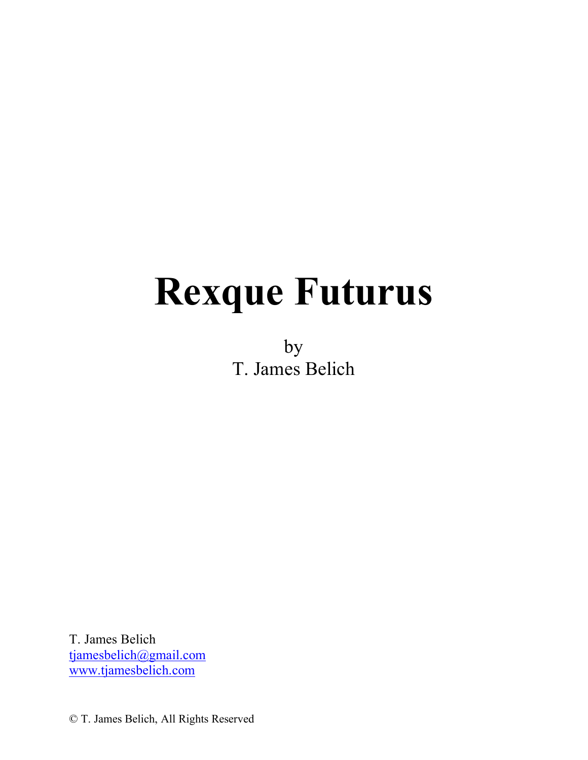# **Rexque Futurus**

by T. James Belich

T. James Belich tjamesbelich@gmail.com www.tjamesbelich.com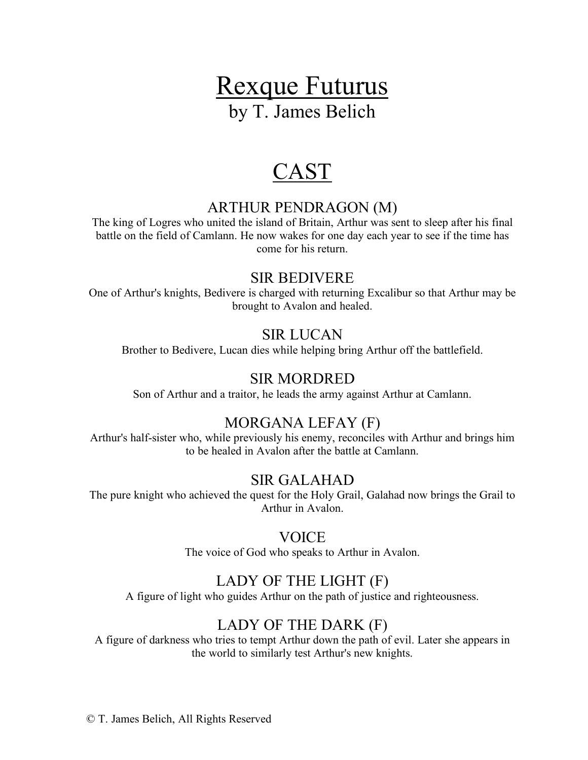# Rexque Futurus by T. James Belich

# CAST

# ARTHUR PENDRAGON (M)

The king of Logres who united the island of Britain, Arthur was sent to sleep after his final battle on the field of Camlann. He now wakes for one day each year to see if the time has come for his return.

# SIR BEDIVERE

One of Arthur's knights, Bedivere is charged with returning Excalibur so that Arthur may be brought to Avalon and healed.

# SIR LUCAN

Brother to Bedivere, Lucan dies while helping bring Arthur off the battlefield.

# SIR MORDRED

Son of Arthur and a traitor, he leads the army against Arthur at Camlann.

# MORGANA LEFAY (F)

Arthur's half-sister who, while previously his enemy, reconciles with Arthur and brings him to be healed in Avalon after the battle at Camlann.

# SIR GALAHAD

The pure knight who achieved the quest for the Holy Grail, Galahad now brings the Grail to Arthur in Avalon.

# **VOICE**

The voice of God who speaks to Arthur in Avalon.

# LADY OF THE LIGHT (F)

A figure of light who guides Arthur on the path of justice and righteousness.

# LADY OF THE DARK (F)

A figure of darkness who tries to tempt Arthur down the path of evil. Later she appears in the world to similarly test Arthur's new knights.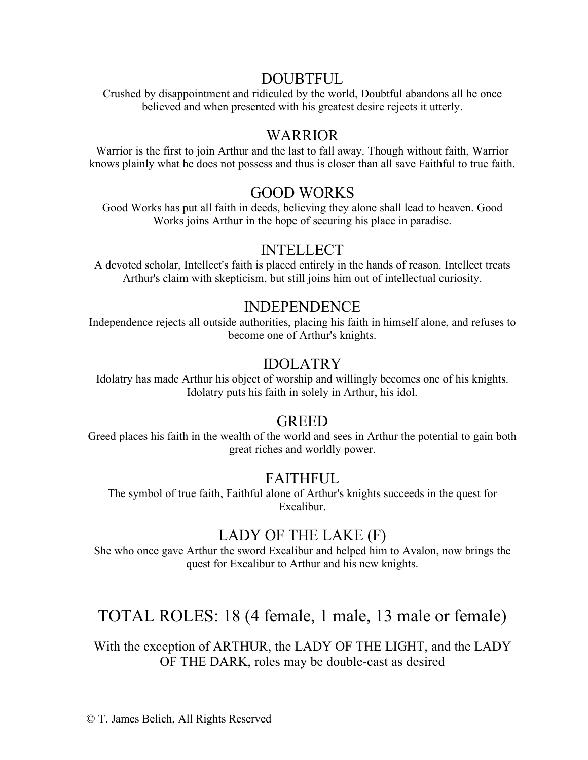# DOUBTFUL

Crushed by disappointment and ridiculed by the world, Doubtful abandons all he once believed and when presented with his greatest desire rejects it utterly.

# WARRIOR

Warrior is the first to join Arthur and the last to fall away. Though without faith, Warrior knows plainly what he does not possess and thus is closer than all save Faithful to true faith.

# GOOD WORKS

Good Works has put all faith in deeds, believing they alone shall lead to heaven. Good Works joins Arthur in the hope of securing his place in paradise.

# INTELLECT

A devoted scholar, Intellect's faith is placed entirely in the hands of reason. Intellect treats Arthur's claim with skepticism, but still joins him out of intellectual curiosity.

# INDEPENDENCE

Independence rejects all outside authorities, placing his faith in himself alone, and refuses to become one of Arthur's knights.

# IDOLATRY

Idolatry has made Arthur his object of worship and willingly becomes one of his knights. Idolatry puts his faith in solely in Arthur, his idol.

# GREED

Greed places his faith in the wealth of the world and sees in Arthur the potential to gain both great riches and worldly power.

# FAITHFUL

The symbol of true faith, Faithful alone of Arthur's knights succeeds in the quest for Excalibur.

# LADY OF THE LAKE (F)

She who once gave Arthur the sword Excalibur and helped him to Avalon, now brings the quest for Excalibur to Arthur and his new knights.

# TOTAL ROLES: 18 (4 female, 1 male, 13 male or female)

With the exception of ARTHUR, the LADY OF THE LIGHT, and the LADY OF THE DARK, roles may be double-cast as desired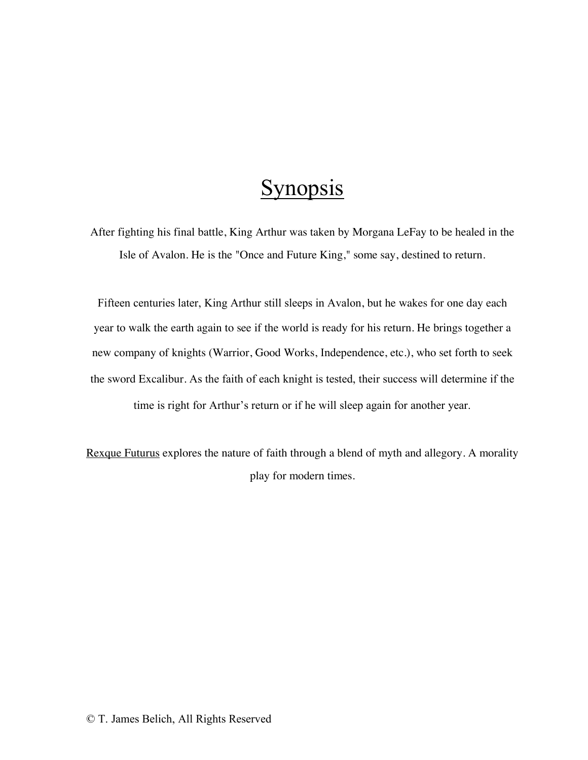# **Synopsis**

After fighting his final battle, King Arthur was taken by Morgana LeFay to be healed in the Isle of Avalon. He is the "Once and Future King," some say, destined to return.

Fifteen centuries later, King Arthur still sleeps in Avalon, but he wakes for one day each year to walk the earth again to see if the world is ready for his return. He brings together a new company of knights (Warrior, Good Works, Independence, etc.), who set forth to seek the sword Excalibur. As the faith of each knight is tested, their success will determine if the time is right for Arthur's return or if he will sleep again for another year.

Rexque Futurus explores the nature of faith through a blend of myth and allegory. A morality play for modern times.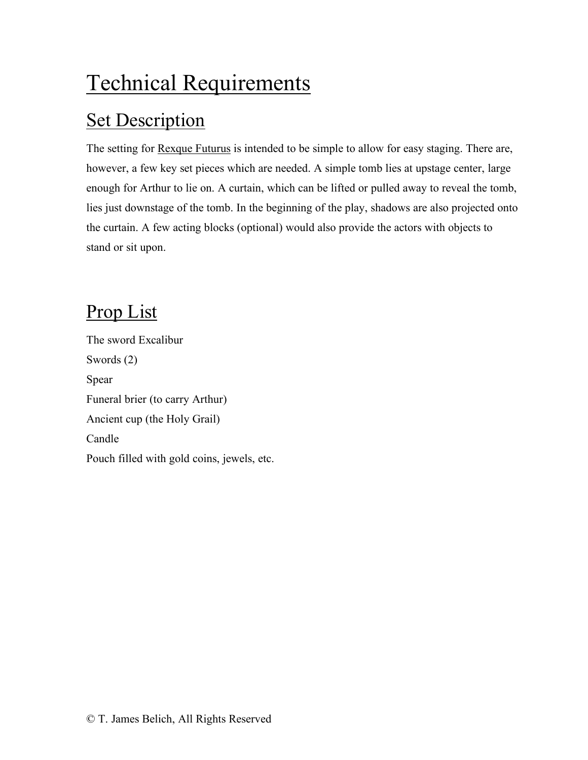# Technical Requirements

# **Set Description**

The setting for Rexque Futurus is intended to be simple to allow for easy staging. There are, however, a few key set pieces which are needed. A simple tomb lies at upstage center, large enough for Arthur to lie on. A curtain, which can be lifted or pulled away to reveal the tomb, lies just downstage of the tomb. In the beginning of the play, shadows are also projected onto the curtain. A few acting blocks (optional) would also provide the actors with objects to stand or sit upon.

# Prop List

The sword Excalibur Swords (2) Spear Funeral brier (to carry Arthur) Ancient cup (the Holy Grail) Candle Pouch filled with gold coins, jewels, etc.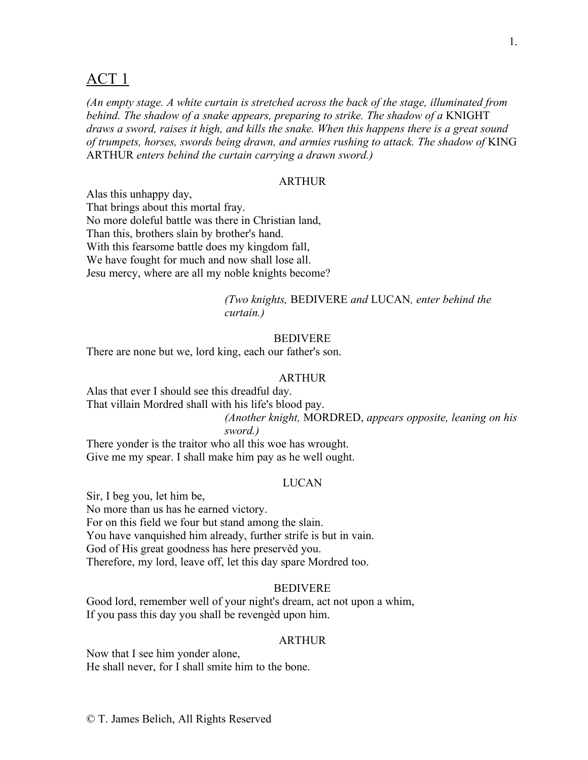# ACT 1

*(An empty stage. A white curtain is stretched across the back of the stage, illuminated from behind. The shadow of a snake appears, preparing to strike. The shadow of a* KNIGHT *draws a sword, raises it high, and kills the snake. When this happens there is a great sound of trumpets, horses, swords being drawn, and armies rushing to attack. The shadow of* KING ARTHUR *enters behind the curtain carrying a drawn sword.)*

# ARTHUR

Alas this unhappy day, That brings about this mortal fray. No more doleful battle was there in Christian land, Than this, brothers slain by brother's hand. With this fearsome battle does my kingdom fall, We have fought for much and now shall lose all. Jesu mercy, where are all my noble knights become?

# *(Two knights,* BEDIVERE *and* LUCAN*, enter behind the curtain.)*

# BEDIVERE

There are none but we, lord king, each our father's son.

#### ARTHUR

Alas that ever I should see this dreadful day.

That villain Mordred shall with his life's blood pay.

*(Another knight,* MORDRED, *appears opposite, leaning on his* 

# *sword.)*

There yonder is the traitor who all this woe has wrought. Give me my spear. I shall make him pay as he well ought.

# LUCAN

Sir, I beg you, let him be, No more than us has he earned victory. For on this field we four but stand among the slain. You have vanquished him already, further strife is but in vain. God of His great goodness has here preservèd you. Therefore, my lord, leave off, let this day spare Mordred too.

# **BEDIVERE**

Good lord, remember well of your night's dream, act not upon a whim, If you pass this day you shall be revengèd upon him.

#### **ARTHUR**

Now that I see him yonder alone, He shall never, for I shall smite him to the bone.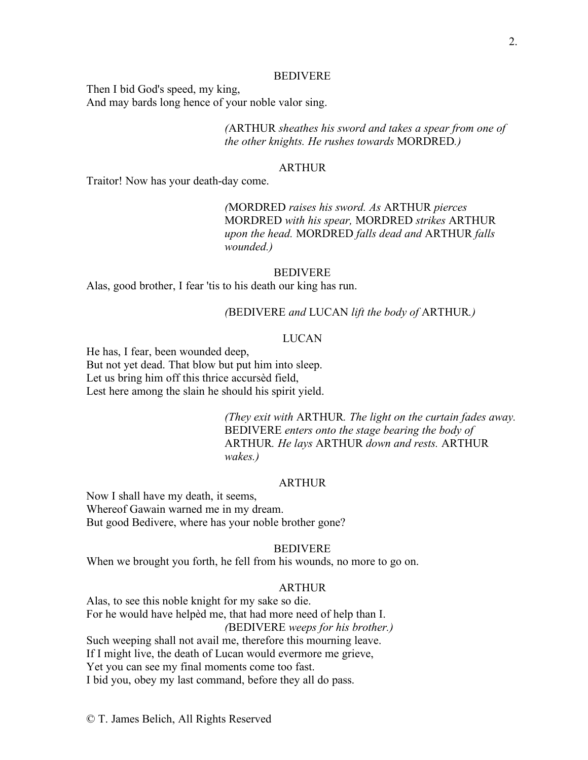#### BEDIVERE

Then I bid God's speed, my king, And may bards long hence of your noble valor sing.

> *(*ARTHUR *sheathes his sword and takes a spear from one of the other knights. He rushes towards* MORDRED*.)*

#### **ARTHUR**

Traitor! Now has your death-day come.

*(*MORDRED *raises his sword. As* ARTHUR *pierces*  MORDRED *with his spear,* MORDRED *strikes* ARTHUR *upon the head.* MORDRED *falls dead and* ARTHUR *falls wounded.)*

# BEDIVERE

Alas, good brother, I fear 'tis to his death our king has run.

#### *(*BEDIVERE *and* LUCAN *lift the body of* ARTHUR*.)*

# LUCAN

He has, I fear, been wounded deep, But not yet dead. That blow but put him into sleep. Let us bring him off this thrice accursèd field, Lest here among the slain he should his spirit yield.

> *(They exit with* ARTHUR*. The light on the curtain fades away.* BEDIVERE *enters onto the stage bearing the body of*  ARTHUR*. He lays* ARTHUR *down and rests.* ARTHUR *wakes.)*

# ARTHUR

Now I shall have my death, it seems, Whereof Gawain warned me in my dream. But good Bedivere, where has your noble brother gone?

# BEDIVERE

When we brought you forth, he fell from his wounds, no more to go on.

## **ARTHUR**

Alas, to see this noble knight for my sake so die. For he would have helpèd me, that had more need of help than I. *(*BEDIVERE *weeps for his brother.)* Such weeping shall not avail me, therefore this mourning leave. If I might live, the death of Lucan would evermore me grieve, Yet you can see my final moments come too fast. I bid you, obey my last command, before they all do pass.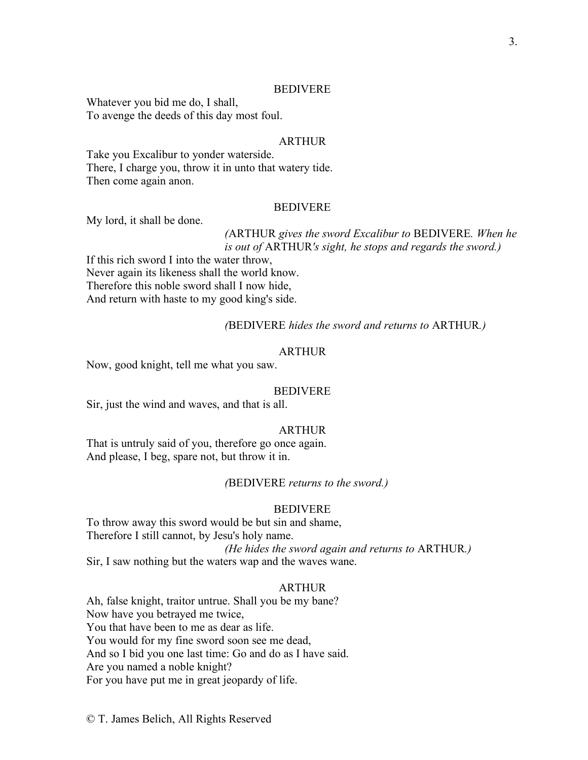#### BEDIVERE

Whatever you bid me do, I shall, To avenge the deeds of this day most foul.

# ARTHUR

Take you Excalibur to yonder waterside. There, I charge you, throw it in unto that watery tide. Then come again anon.

# BEDIVERE

My lord, it shall be done.

# *(*ARTHUR *gives the sword Excalibur to* BEDIVERE*. When he is out of* ARTHUR*'s sight, he stops and regards the sword.)*

If this rich sword I into the water throw, Never again its likeness shall the world know. Therefore this noble sword shall I now hide, And return with haste to my good king's side.

*(*BEDIVERE *hides the sword and returns to* ARTHUR*.)*

# ARTHUR

Now, good knight, tell me what you saw.

#### BEDIVERE

Sir, just the wind and waves, and that is all.

# ARTHUR

That is untruly said of you, therefore go once again. And please, I beg, spare not, but throw it in.

# *(*BEDIVERE *returns to the sword.)*

#### BEDIVERE

To throw away this sword would be but sin and shame, Therefore I still cannot, by Jesu's holy name. *(He hides the sword again and returns to* ARTHUR*.)* Sir, I saw nothing but the waters wap and the waves wane.

## **ARTHUR**

Ah, false knight, traitor untrue. Shall you be my bane? Now have you betrayed me twice, You that have been to me as dear as life. You would for my fine sword soon see me dead, And so I bid you one last time: Go and do as I have said. Are you named a noble knight? For you have put me in great jeopardy of life.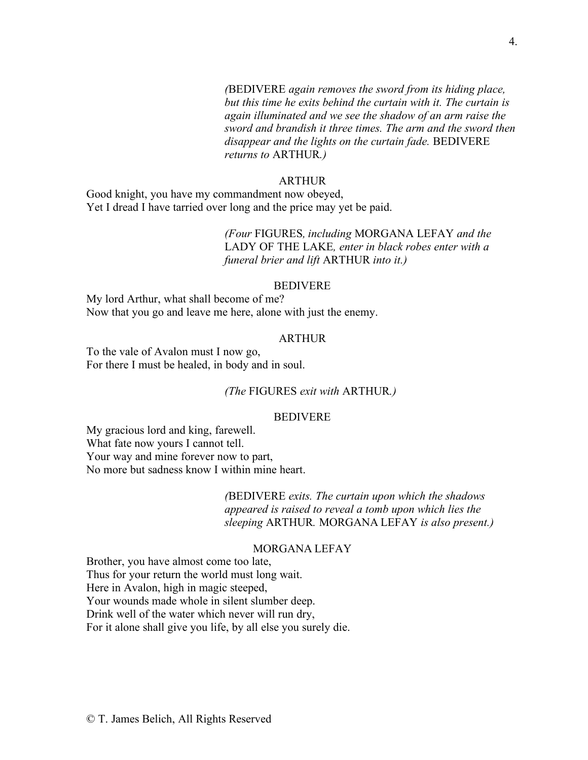*(*BEDIVERE *again removes the sword from its hiding place, but this time he exits behind the curtain with it. The curtain is again illuminated and we see the shadow of an arm raise the sword and brandish it three times. The arm and the sword then disappear and the lights on the curtain fade.* BEDIVERE *returns to* ARTHUR*.)*

#### ARTHUR

Good knight, you have my commandment now obeyed, Yet I dread I have tarried over long and the price may yet be paid.

> *(Four* FIGURES*, including* MORGANA LEFAY *and the*  LADY OF THE LAKE*, enter in black robes enter with a funeral brier and lift* ARTHUR *into it.)*

#### BEDIVERE

My lord Arthur, what shall become of me? Now that you go and leave me here, alone with just the enemy.

# ARTHUR

To the vale of Avalon must I now go, For there I must be healed, in body and in soul.

# *(The* FIGURES *exit with* ARTHUR*.)*

# BEDIVERE

My gracious lord and king, farewell. What fate now yours I cannot tell. Your way and mine forever now to part, No more but sadness know I within mine heart.

> *(*BEDIVERE *exits. The curtain upon which the shadows appeared is raised to reveal a tomb upon which lies the sleeping* ARTHUR*.* MORGANA LEFAY *is also present.)*

#### MORGANA LEFAY

Brother, you have almost come too late, Thus for your return the world must long wait. Here in Avalon, high in magic steeped, Your wounds made whole in silent slumber deep. Drink well of the water which never will run dry, For it alone shall give you life, by all else you surely die.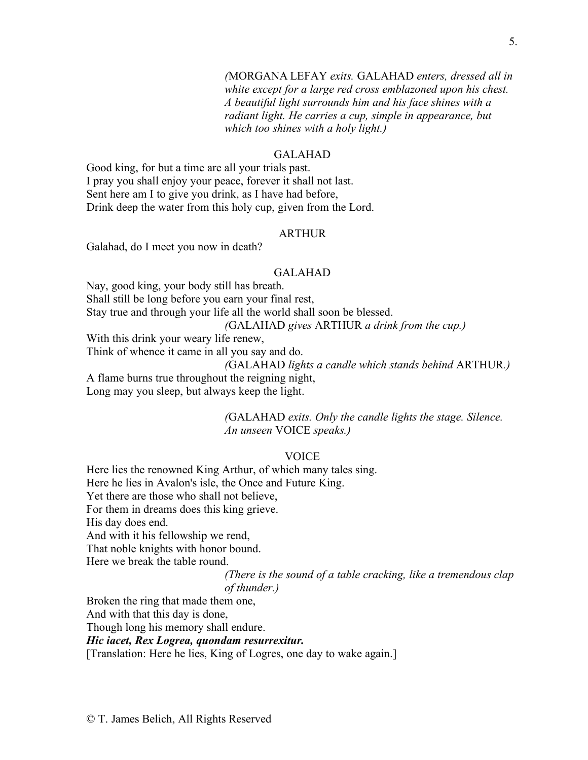*(*MORGANA LEFAY *exits.* GALAHAD *enters, dressed all in white except for a large red cross emblazoned upon his chest. A beautiful light surrounds him and his face shines with a radiant light. He carries a cup, simple in appearance, but which too shines with a holy light.)*

# GALAHAD

Good king, for but a time are all your trials past. I pray you shall enjoy your peace, forever it shall not last. Sent here am I to give you drink, as I have had before, Drink deep the water from this holy cup, given from the Lord.

# ARTHUR

Galahad, do I meet you now in death?

#### GALAHAD

Nay, good king, your body still has breath. Shall still be long before you earn your final rest, Stay true and through your life all the world shall soon be blessed. *(*GALAHAD *gives* ARTHUR *a drink from the cup.)* With this drink your weary life renew, Think of whence it came in all you say and do.

*(*GALAHAD *lights a candle which stands behind* ARTHUR*.)* A flame burns true throughout the reigning night,

Long may you sleep, but always keep the light.

*(*GALAHAD *exits. Only the candle lights the stage. Silence. An unseen* VOICE *speaks.)*

## VOICE

Here lies the renowned King Arthur, of which many tales sing. Here he lies in Avalon's isle, the Once and Future King. Yet there are those who shall not believe, For them in dreams does this king grieve. His day does end. And with it his fellowship we rend, That noble knights with honor bound.

Here we break the table round.

*(There is the sound of a table cracking, like a tremendous clap of thunder.)*

Broken the ring that made them one,

And with that this day is done,

Though long his memory shall endure.

# *Hic iacet, Rex Logrea, quondam resurrexitur.*

[Translation: Here he lies, King of Logres, one day to wake again.]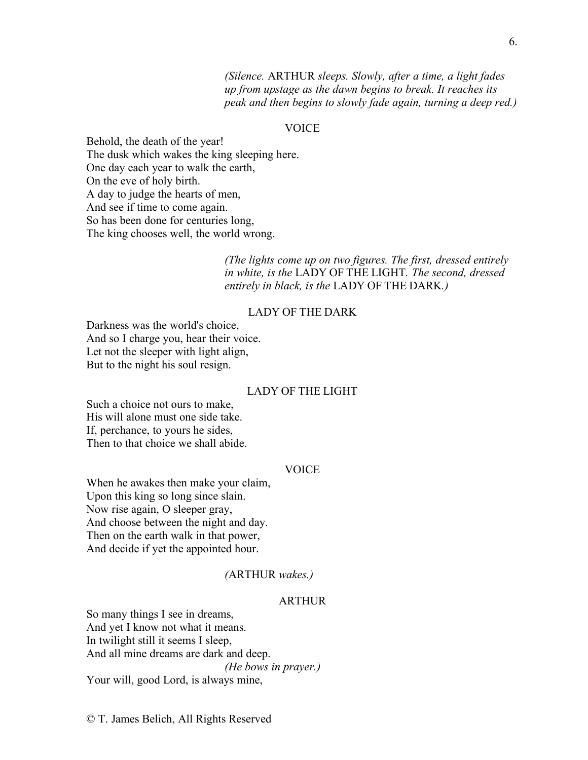*(Silence.* ARTHUR *sleeps. Slowly, after a time, a light fades up from upstage as the dawn begins to break. It reaches its peak and then begins to slowly fade again, turning a deep red.)*

# VOICE

Behold, the death of the year! The dusk which wakes the king sleeping here. One day each year to walk the earth, On the eve of holy birth. A day to judge the hearts of men, And see if time to come again. So has been done for centuries long, The king chooses well, the world wrong.

> *(The lights come up on two figures. The first, dressed entirely in white, is the* LADY OF THE LIGHT*. The second, dressed entirely in black, is the* LADY OF THE DARK*.)*

# LADY OF THE DARK

Darkness was the world's choice, And so I charge you, hear their voice. Let not the sleeper with light align, But to the night his soul resign.

# LADY OF THE LIGHT

Such a choice not ours to make, His will alone must one side take. If, perchance, to yours he sides, Then to that choice we shall abide.

## VOICE

When he awakes then make your claim, Upon this king so long since slain. Now rise again, O sleeper gray, And choose between the night and day. Then on the earth walk in that power, And decide if yet the appointed hour.

## *(*ARTHUR *wakes.)*

# **ARTHUR**

So many things I see in dreams, And yet I know not what it means. In twilight still it seems I sleep, And all mine dreams are dark and deep. *(He bows in prayer.)* Your will, good Lord, is always mine,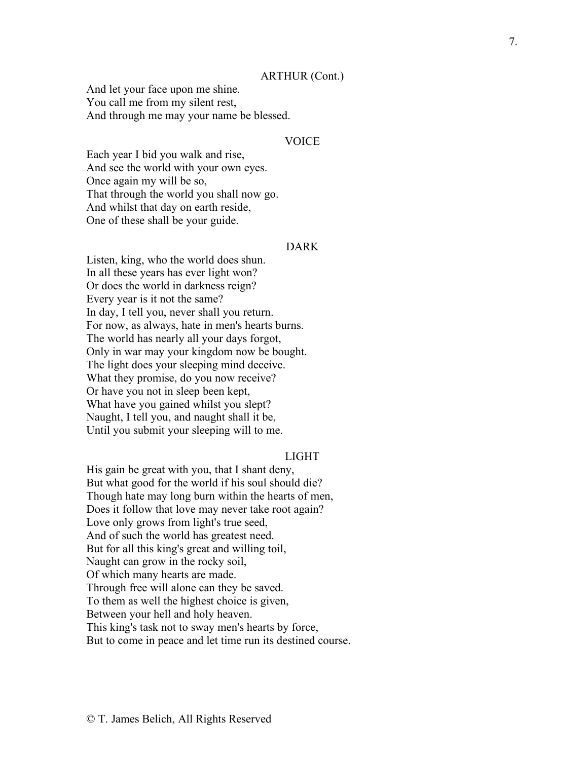#### ARTHUR (Cont.)

And let your face upon me shine. You call me from my silent rest, And through me may your name be blessed.

# VOICE

Each year I bid you walk and rise, And see the world with your own eyes. Once again my will be so, That through the world you shall now go. And whilst that day on earth reside, One of these shall be your guide.

# DARK

Listen, king, who the world does shun. In all these years has ever light won? Or does the world in darkness reign? Every year is it not the same? In day, I tell you, never shall you return. For now, as always, hate in men's hearts burns . The world has nearly all your days forgot, Only in war may your kingdom now be bought. The light does your sleeping mind deceive . What they promise, do you now receive? Or have you not in sleep been kept, What have you gained whilst you slept? Naught, I tell you, and naught shall it be, Until you submit your sleeping will to me.

#### LIGHT

His gain be great with you, that I shant deny, But what good for the world if his soul should die? Though hate may long burn within the hearts of men, Does it follow that love may never take root again? Love only grows from light's true seed, And of such the world has greatest need. But for all this king's great and willing toil, Naught can grow in the rocky soil, Of which many hearts are made. Through free will alone can they be saved. To them as well the highest choice is given, Between your hell and holy heaven. This king's task not to sway men's hearts by force, But to come in peace and let time run its destined course.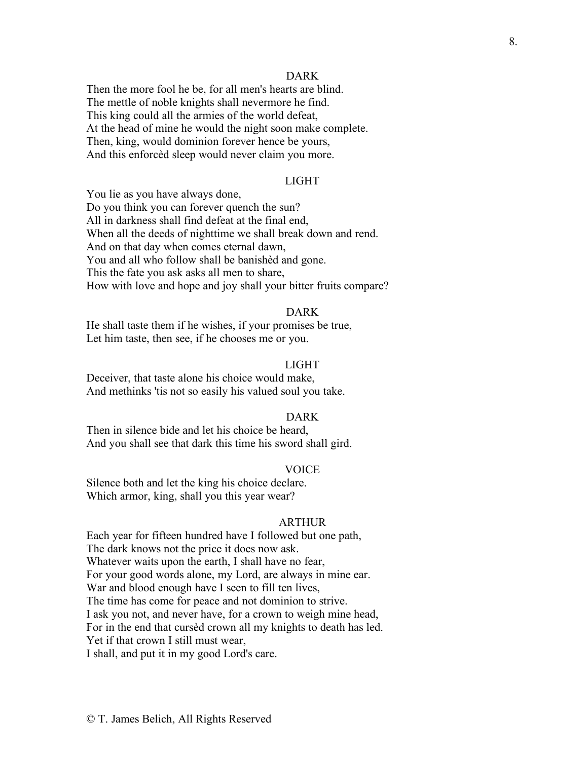#### DARK

Then the more fool he be, for all men's hearts are blind. The mettle of noble knights shall nevermore he find. This king could all the armies of the world defeat, At the head of mine he would the night soon make complete. Then, king, would dominion forever hence be yours, And this enforcèd sleep would never claim you more.

# LIGHT

You lie as you have always done, Do you think you can forever quench the sun? All in darkness shall find defeat at the final end, When all the deeds of nighttime we shall break down and rend. And on that day when comes eternal dawn, You and all who follow shall be banishèd and gone. This the fate you ask asks all men to share, How with love and hope and joy shall your bitter fruits compare?

# DARK

He shall taste them if he wishes, if your promises be true, Let him taste, then see, if he chooses me or you.

# LIGHT

Deceiver, that taste alone his choice would make, And methinks 'tis not so easily his valued soul you take.

#### DARK

Then in silence bide and let his choice be heard, And you shall see that dark this time his sword shall gird.

# VOICE

Silence both and let the king his choice declare. Which armor, king, shall you this year wear?

#### ARTHUR

Each year for fifteen hundred have I followed but one path, The dark knows not the price it does now ask. Whatever waits upon the earth, I shall have no fear, For your good words alone, my Lord, are always in mine ear. War and blood enough have I seen to fill ten lives, The time has come for peace and not dominion to strive. I ask you not, and never have, for a crown to weigh mine head, For in the end that cursèd crown all my knights to death has led. Yet if that crown I still must wear,

I shall, and put it in my good Lord's care.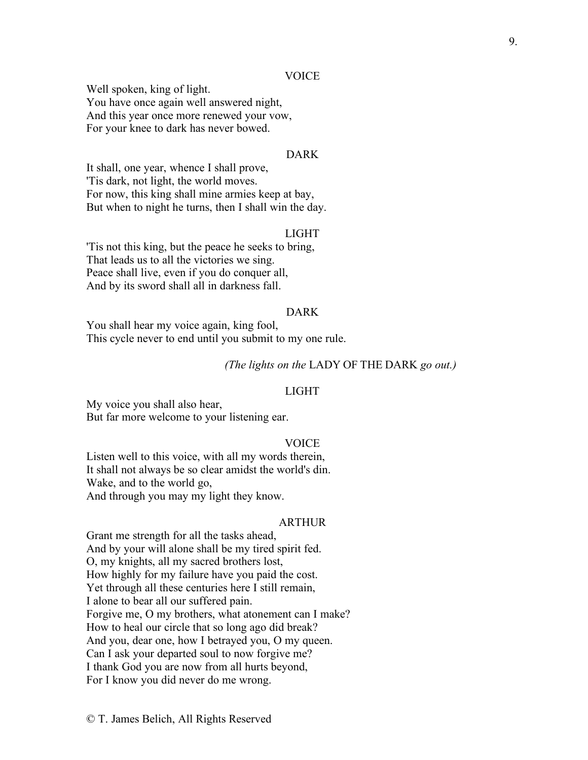## VOICE

Well spoken, king of light. You have once again well answered night, And this year once more renewed your vow, For your knee to dark has never bowed.

# DARK

It shall, one year, whence I shall prove, 'Tis dark, not light, the world moves. For now, this king shall mine armies keep at bay, But when to night he turns, then I shall win the day.

# LIGHT

'Tis not this king, but the peace he seeks to bring, That leads us to all the victories we sing. Peace shall live, even if you do conquer all, And by its sword shall all in darkness fall.

#### DARK

You shall hear my voice again, king fool, This cycle never to end until you submit to my one rule.

# *(The lights on the* LADY OF THE DARK *go out.)*

#### LIGHT

My voice you shall also hear, But far more welcome to your listening ear.

#### VOICE

Listen well to this voice, with all my words therein, It shall not always be so clear amidst the world's din. Wake, and to the world go, And through you may my light they know.

#### ARTHUR

Grant me strength for all the tasks ahead, And by your will alone shall be my tired spirit fed. O, my knights, all my sacred brothers lost, How highly for my failure have you paid the cost. Yet through all these centuries here I still remain, I alone to bear all our suffered pain. Forgive me, O my brothers, what atonement can I make? How to heal our circle that so long ago did break? And you, dear one, how I betrayed you, O my queen. Can I ask your departed soul to now forgive me? I thank God you are now from all hurts beyond, For I know you did never do me wrong.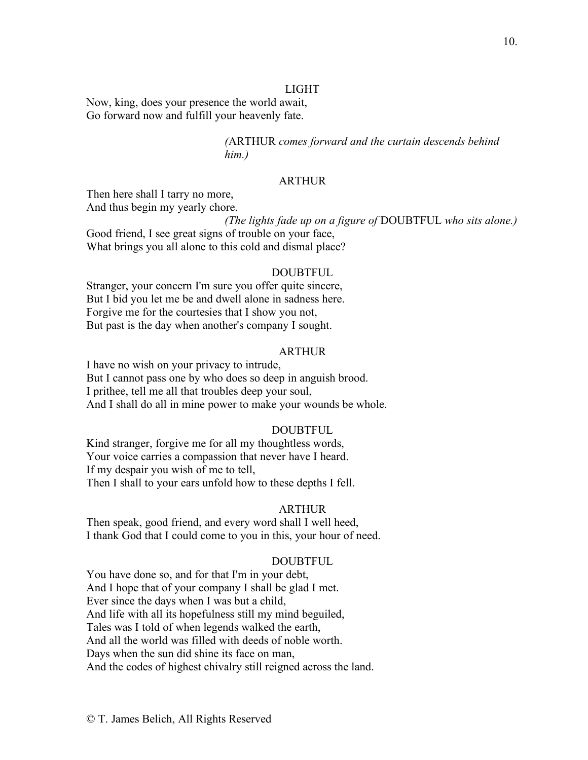# LIGHT

Now, king, does your presence the world await, Go forward now and fulfill your heavenly fate.

> *(*ARTHUR *comes forward and the curtain descends behind him.)*

# ARTHUR

Then here shall I tarry no more, And thus begin my yearly chore.

*(The lights fade up on a figure of* DOUBTFUL *who sits alone.)*

Good friend, I see great signs of trouble on your face, What brings you all alone to this cold and dismal place?

#### DOUBTFUL

Stranger, your concern I'm sure you offer quite sincere, But I bid you let me be and dwell alone in sadness here. Forgive me for the courtesies that I show you not, But past is the day when another's company I sought.

# ARTHUR

I have no wish on your privacy to intrude, But I cannot pass one by who does so deep in anguish brood. I prithee, tell me all that troubles deep your soul, And I shall do all in mine power to make your wounds be whole.

#### DOUBTFUL

Kind stranger, forgive me for all my thoughtless words, Your voice carries a compassion that never have I heard. If my despair you wish of me to tell, Then I shall to your ears unfold how to these depths I fell.

#### ARTHUR

Then speak, good friend, and every word shall I well heed, I thank God that I could come to you in this, your hour of need.

#### DOUBTFUL

You have done so, and for that I'm in your debt, And I hope that of your company I shall be glad I met. Ever since the days when I was but a child, And life with all its hopefulness still my mind beguiled, Tales was I told of when legends walked the earth, And all the world was filled with deeds of noble worth. Days when the sun did shine its face on man, And the codes of highest chivalry still reigned across the land.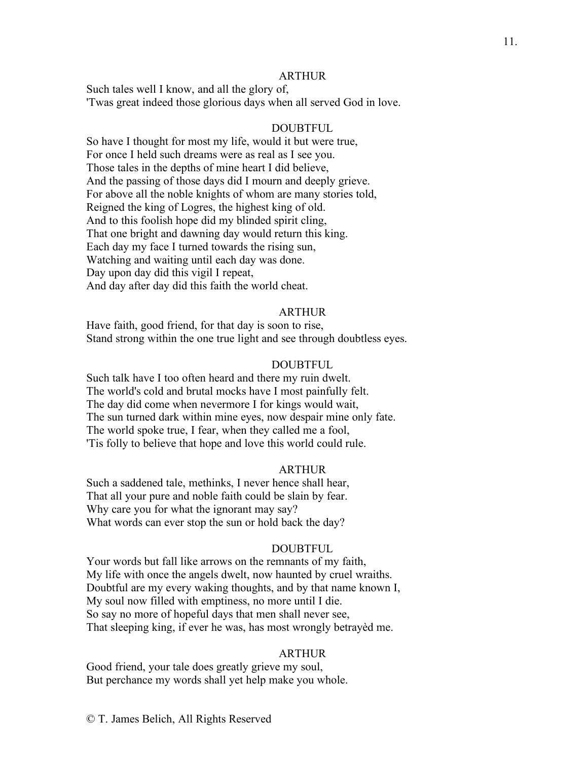#### ARTHUR

Such tales well I know, and all the glory of, 'Twas great indeed those glorious days when all served God in love.

#### DOUBTFUL

So have I thought for most my life, would it but were true, For once I held such dreams were as real as I see you. Those tales in the depths of mine heart I did believe, And the passing of those days did I mourn and deeply grieve. For above all the noble knights of whom are many stories told, Reigned the king of Logres, the highest king of old. And to this foolish hope did my blinded spirit cling, That one bright and dawning day would return this king. Each day my face I turned towards the rising sun, Watching and waiting until each day was done. Day upon day did this vigil I repeat, And day after day did this faith the world cheat.

#### ARTHUR

Have faith, good friend, for that day is soon to rise, Stand strong within the one true light and see through doubtless eyes.

#### DOUBTFUL

Such talk have I too often heard and there my ruin dwelt. The world's cold and brutal mocks have I most painfully felt. The day did come when nevermore I for kings would wait, The sun turned dark within mine eyes, now despair mine only fate. The world spoke true, I fear, when they called me a fool, 'Tis folly to believe that hope and love this world could rule.

## ARTHUR

Such a saddened tale, methinks, I never hence shall hear, That all your pure and noble faith could be slain by fear. Why care you for what the ignorant may say? What words can ever stop the sun or hold back the day?

#### DOUBTFUL

Your words but fall like arrows on the remnants of my faith, My life with once the angels dwelt, now haunted by cruel wraiths. Doubtful are my every waking thoughts, and by that name known I, My soul now filled with emptiness, no more until I die. So say no more of hopeful days that men shall never see, That sleeping king, if ever he was, has most wrongly betrayèd me.

#### ARTHUR

Good friend, your tale does greatly grieve my soul, But perchance my words shall yet help make you whole.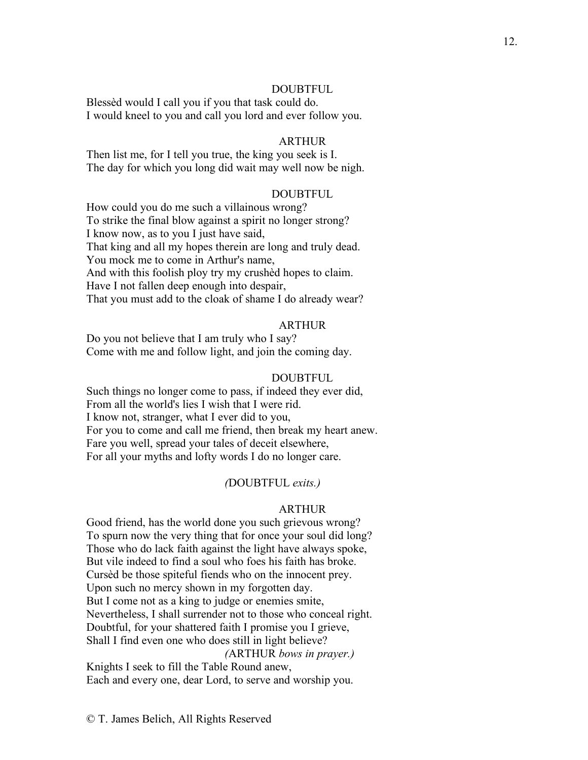# DOUBTFUL

Blessèd would I call you if you that task could do. I would kneel to you and call you lord and ever follow you.

# ARTHUR

Then list me, for I tell you true, the king you seek is I. The day for which you long did wait may well now be nigh.

#### DOUBTFUL

How could you do me such a villainous wrong? To strike the final blow against a spirit no longer strong? I know now, as to you I just have said, That king and all my hopes therein are long and truly dead. You mock me to come in Arthur's name, And with this foolish ploy try my crushèd hopes to claim. Have I not fallen deep enough into despair, That you must add to the cloak of shame I do already wear?

### ARTHUR

Do you not believe that I am truly who I say? Come with me and follow light, and join the coming day.

#### DOUBTFUL

Such things no longer come to pass, if indeed they ever did, From all the world's lies I wish that I were rid. I know not, stranger, what I ever did to you, For you to come and call me friend, then break my heart anew. Fare you well, spread your tales of deceit elsewhere, For all your myths and lofty words I do no longer care.

#### *(*DOUBTFUL *exits.)*

#### ARTHUR

Good friend, has the world done you such grievous wrong? To spurn now the very thing that for once your soul did long? Those who do lack faith against the light have always spoke, But vile indeed to find a soul who foes his faith has broke. Cursèd be those spiteful fiends who on the innocent prey. Upon such no mercy shown in my forgotten day. But I come not as a king to judge or enemies smite, Nevertheless, I shall surrender not to those who conceal right. Doubtful, for your shattered faith I promise you I grieve, Shall I find even one who does still in light believe? *(*ARTHUR *bows in prayer.)*

Knights I seek to fill the Table Round anew, Each and every one, dear Lord, to serve and worship you.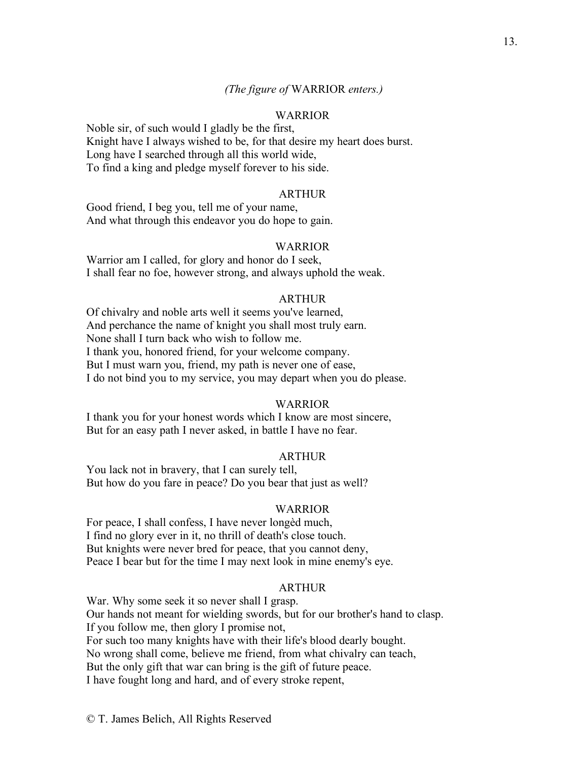# *(The figure of* WARRIOR *enters.)*

## **WARRIOR**

Noble sir, of such would I gladly be the first, Knight have I always wished to be, for that desire my heart does burst. Long have I searched through all this world wide, To find a king and pledge myself forever to his side.

#### ARTHUR

Good friend, I beg you, tell me of your name, And what through this endeavor you do hope to gain.

#### WARRIOR

Warrior am I called, for glory and honor do I seek, I shall fear no foe, however strong, and always uphold the weak.

#### ARTHUR

Of chivalry and noble arts well it seems you've learned, And perchance the name of knight you shall most truly earn. None shall I turn back who wish to follow me. I thank you, honored friend, for your welcome company. But I must warn you, friend, my path is never one of ease, I do not bind you to my service, you may depart when you do please.

#### WARRIOR

I thank you for your honest words which I know are most sincere, But for an easy path I never asked, in battle I have no fear.

#### ARTHUR

You lack not in bravery, that I can surely tell, But how do you fare in peace? Do you bear that just as well?

#### WARRIOR

For peace, I shall confess, I have never longèd much, I find no glory ever in it, no thrill of death's close touch. But knights were never bred for peace, that you cannot deny, Peace I bear but for the time I may next look in mine enemy's eye.

## **ARTHUR**

War. Why some seek it so never shall I grasp. Our hands not meant for wielding swords, but for our brother's hand to clasp. If you follow me, then glory I promise not, For such too many knights have with their life's blood dearly bought. No wrong shall come, believe me friend, from what chivalry can teach, But the only gift that war can bring is the gift of future peace. I have fought long and hard, and of every stroke repent,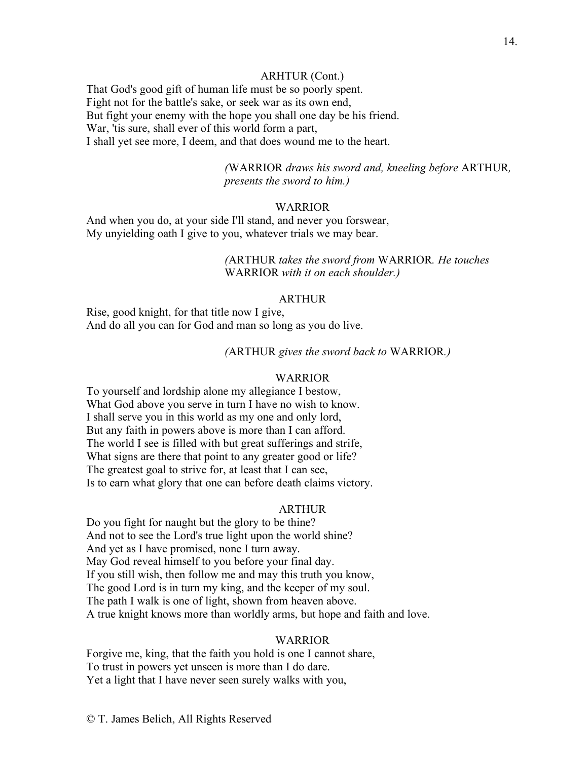# ARHTUR (Cont.)

That God's good gift of human life must be so poorly spent. Fight not for the battle's sake, or seek war as its own end, But fight your enemy with the hope you shall one day be his friend. War, 'tis sure, shall ever of this world form a part, I shall yet see more, I deem, and that does wound me to the heart.

> *(*WARRIOR *draws his sword and, kneeling before* ARTHUR*, presents the sword to him.)*

# WARRIOR

And when you do, at your side I'll stand, and never you forswear, My unyielding oath I give to you, whatever trials we may bear.

> *(*ARTHUR *takes the sword from* WARRIOR*. He touches*  WARRIOR *with it on each shoulder.)*

#### **ARTHUR**

Rise, good knight, for that title now I give, And do all you can for God and man so long as you do live.

#### *(*ARTHUR *gives the sword back to* WARRIOR*.)*

#### WARRIOR

To yourself and lordship alone my allegiance I bestow, What God above you serve in turn I have no wish to know. I shall serve you in this world as my one and only lord, But any faith in powers above is more than I can afford. The world I see is filled with but great sufferings and strife, What signs are there that point to any greater good or life? The greatest goal to strive for, at least that I can see, Is to earn what glory that one can before death claims victory.

#### ARTHUR

Do you fight for naught but the glory to be thine? And not to see the Lord's true light upon the world shine? And yet as I have promised, none I turn away. May God reveal himself to you before your final day. If you still wish, then follow me and may this truth you know, The good Lord is in turn my king, and the keeper of my soul. The path I walk is one of light, shown from heaven above. A true knight knows more than worldly arms, but hope and faith and love.

#### WARRIOR

Forgive me, king, that the faith you hold is one I cannot share, To trust in powers yet unseen is more than I do dare. Yet a light that I have never seen surely walks with you,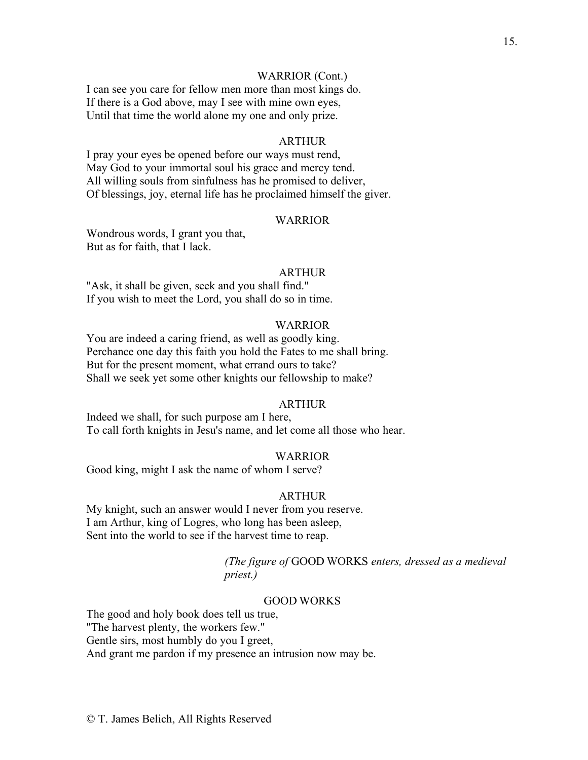# WARRIOR (Cont.)

I can see you care for fellow men more than most kings do. If there is a God above, may I see with mine own eyes, Until that time the world alone my one and only prize.

## ARTHUR

I pray your eyes be opened before our ways must rend, May God to your immortal soul his grace and mercy tend. All willing souls from sinfulness has he promised to deliver, Of blessings, joy, eternal life has he proclaimed himself the giver.

#### WARRIOR

Wondrous words, I grant you that, But as for faith, that I lack.

#### ARTHUR

"Ask, it shall be given, seek and you shall find." If you wish to meet the Lord, you shall do so in time.

### WARRIOR

You are indeed a caring friend, as well as goodly king. Perchance one day this faith you hold the Fates to me shall bring. But for the present moment, what errand ours to take? Shall we seek yet some other knights our fellowship to make?

#### ARTHUR

Indeed we shall, for such purpose am I here, To call forth knights in Jesu's name, and let come all those who hear.

#### WARRIOR

Good king, might I ask the name of whom I serve?

# ARTHUR

My knight, such an answer would I never from you reserve. I am Arthur, king of Logres, who long has been asleep, Sent into the world to see if the harvest time to reap.

> *(The figure of* GOOD WORKS *enters, dressed as a medieval priest.)*

#### GOOD WORKS

The good and holy book does tell us true, "The harvest plenty, the workers few." Gentle sirs, most humbly do you I greet, And grant me pardon if my presence an intrusion now may be.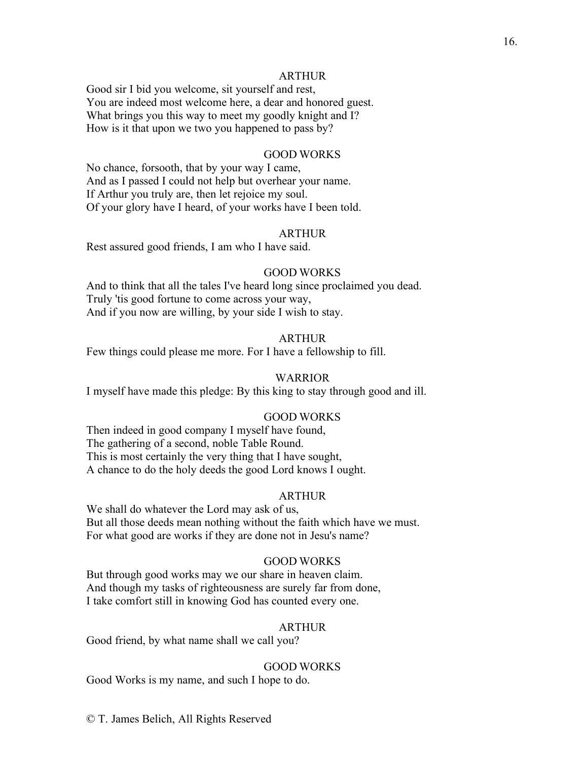#### ARTHUR

Good sir I bid you welcome, sit yourself and rest, You are indeed most welcome here, a dear and honored guest. What brings you this way to meet my goodly knight and I? How is it that upon we two you happened to pass by?

#### GOOD WORKS

No chance, forsooth, that by your way I came, And as I passed I could not help but overhear your name. If Arthur you truly are, then let rejoice my soul. Of your glory have I heard, of your works have I been told.

#### ARTHUR

Rest assured good friends, I am who I have said.

#### GOOD WORKS

And to think that all the tales I've heard long since proclaimed you dead. Truly 'tis good fortune to come across your way, And if you now are willing, by your side I wish to stay.

#### ARTHUR

Few things could please me more. For I have a fellowship to fill.

#### WARRIOR

I myself have made this pledge: By this king to stay through good and ill.

# GOOD WORKS

Then indeed in good company I myself have found, The gathering of a second, noble Table Round. This is most certainly the very thing that I have sought, A chance to do the holy deeds the good Lord knows I ought.

# ARTHUR

We shall do whatever the Lord may ask of us, But all those deeds mean nothing without the faith which have we must. For what good are works if they are done not in Jesu's name?

#### GOOD WORKS

But through good works may we our share in heaven claim. And though my tasks of righteousness are surely far from done, I take comfort still in knowing God has counted every one.

# ARTHUR

Good friend, by what name shall we call you?

#### GOOD WORKS

Good Works is my name, and such I hope to do.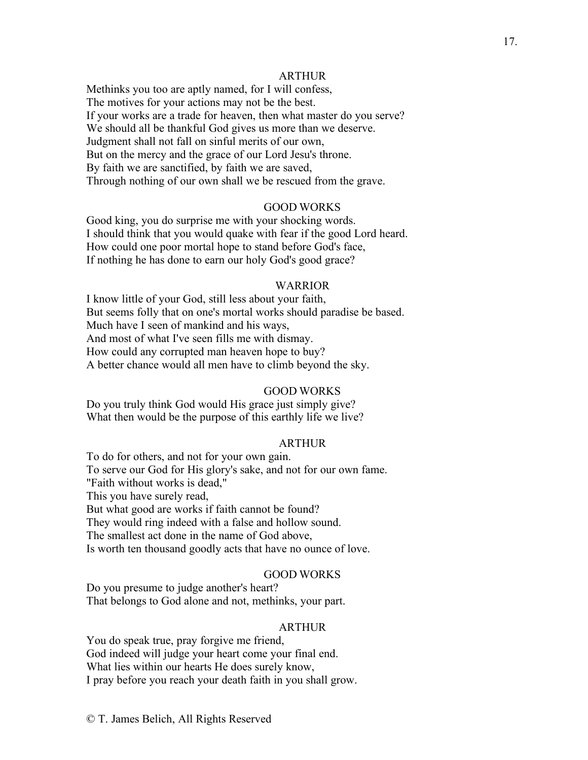## ARTHUR

Methinks you too are aptly named, for I will confess, The motives for your actions may not be the best. If your works are a trade for heaven, then what master do you serve? We should all be thankful God gives us more than we deserve. Judgment shall not fall on sinful merits of our own, But on the mercy and the grace of our Lord Jesu's throne. By faith we are sanctified, by faith we are saved, Through nothing of our own shall we be rescued from the grave.

# GOOD WORKS

Good king, you do surprise me with your shocking words. I should think that you would quake with fear if the good Lord heard. How could one poor mortal hope to stand before God's face, If nothing he has done to earn our holy God's good grace?

#### WARRIOR

I know little of your God, still less about your faith, But seems folly that on one's mortal works should paradise be based. Much have I seen of mankind and his ways, And most of what I've seen fills me with dismay. How could any corrupted man heaven hope to buy? A better chance would all men have to climb beyond the sky.

#### GOOD WORKS

Do you truly think God would His grace just simply give? What then would be the purpose of this earthly life we live?

# ARTHUR

To do for others, and not for your own gain. To serve our God for His glory's sake, and not for our own fame. "Faith without works is dead," This you have surely read, But what good are works if faith cannot be found? They would ring indeed with a false and hollow sound. The smallest act done in the name of God above, Is worth ten thousand goodly acts that have no ounce of love.

# GOOD WORKS

Do you presume to judge another's heart? That belongs to God alone and not, methinks, your part.

# ARTHUR

You do speak true, pray forgive me friend, God indeed will judge your heart come your final end. What lies within our hearts He does surely know, I pray before you reach your death faith in you shall grow.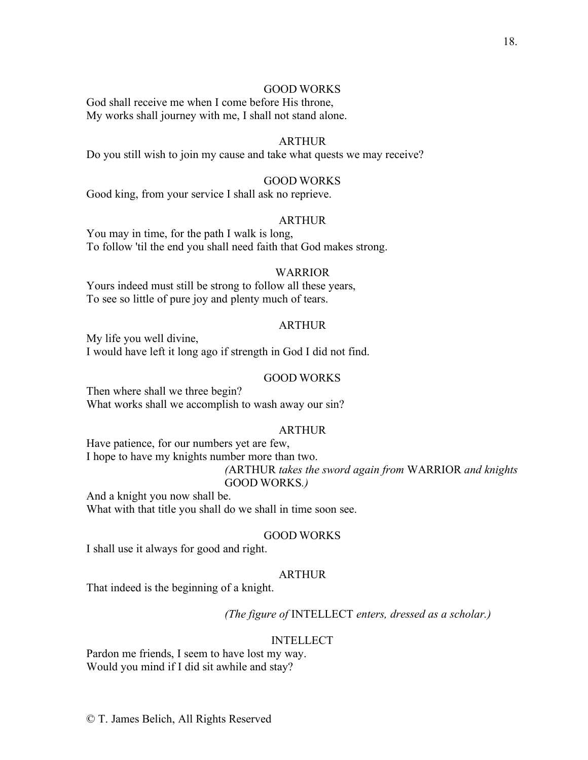# GOOD WORKS

God shall receive me when I come before His throne, My works shall journey with me, I shall not stand alone.

# ARTHUR

Do you still wish to join my cause and take what quests we may receive?

# GOOD WORKS

Good king, from your service I shall ask no reprieve.

#### ARTHUR

You may in time, for the path I walk is long, To follow 'til the end you shall need faith that God makes strong.

#### WARRIOR

Yours indeed must still be strong to follow all these years, To see so little of pure joy and plenty much of tears.

# ARTHUR

My life you well divine, I would have left it long ago if strength in God I did not find.

#### GOOD WORKS

Then where shall we three begin? What works shall we accomplish to wash away our sin?

# ARTHUR

Have patience, for our numbers yet are few, I hope to have my knights number more than two. *(*ARTHUR *takes the sword again from* WARRIOR *and knights*  GOOD WORKS*.)*

And a knight you now shall be. What with that title you shall do we shall in time soon see.

#### GOOD WORKS

I shall use it always for good and right.

# ARTHUR

That indeed is the beginning of a knight.

*(The figure of* INTELLECT *enters, dressed as a scholar.)*

#### **INTELLECT**

Pardon me friends, I seem to have lost my way. Would you mind if I did sit awhile and stay?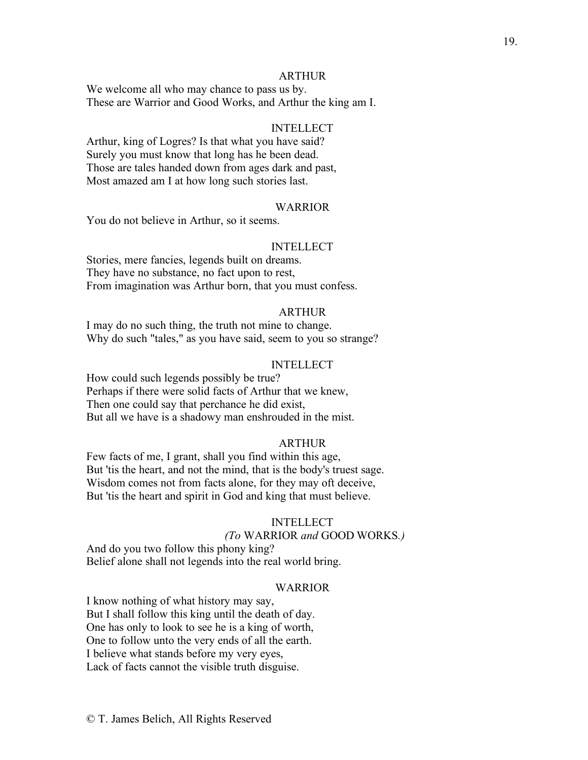#### ARTHUR

We welcome all who may chance to pass us by. These are Warrior and Good Works, and Arthur the king am I.

# INTELLECT

Arthur, king of Logres? Is that what you have said? Surely you must know that long has he been dead. Those are tales handed down from ages dark and past, Most amazed am I at how long such stories last.

## WARRIOR

You do not believe in Arthur, so it seems.

#### INTELLECT

Stories, mere fancies, legends built on dreams. They have no substance, no fact upon to rest, From imagination was Arthur born, that you must confess.

# ARTHUR

I may do no such thing, the truth not mine to change. Why do such "tales," as you have said, seem to you so strange?

# INTELLECT

How could such legends possibly be true? Perhaps if there were solid facts of Arthur that we knew, Then one could say that perchance he did exist, But all we have is a shadowy man enshrouded in the mist.

#### ARTHUR

Few facts of me, I grant, shall you find within this age, But 'tis the heart, and not the mind, that is the body's truest sage. Wisdom comes not from facts alone, for they may oft deceive, But 'tis the heart and spirit in God and king that must believe.

# INTELLECT

# *(To* WARRIOR *and* GOOD WORKS*.)*

And do you two follow this phony king? Belief alone shall not legends into the real world bring.

#### WARRIOR

I know nothing of what history may say, But I shall follow this king until the death of day. One has only to look to see he is a king of worth, One to follow unto the very ends of all the earth. I believe what stands before my very eyes, Lack of facts cannot the visible truth disguise.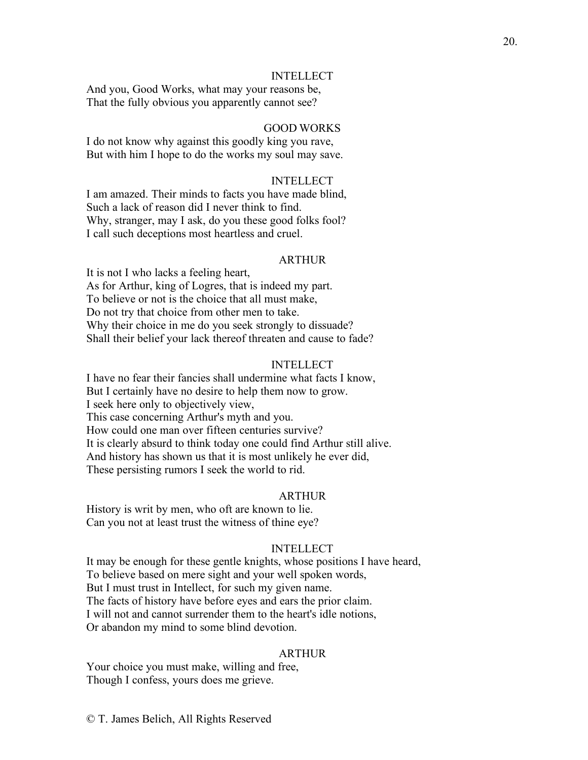#### INTELLECT

And you, Good Works, what may your reasons be, That the fully obvious you apparently cannot see?

#### GOOD WORKS

I do not know why against this goodly king you rave, But with him I hope to do the works my soul may save.

# INTELLECT

I am amazed. Their minds to facts you have made blind, Such a lack of reason did I never think to find. Why, stranger, may I ask, do you these good folks fool? I call such deceptions most heartless and cruel.

#### ARTHUR

It is not I who lacks a feeling heart, As for Arthur, king of Logres, that is indeed my part. To believe or not is the choice that all must make, Do not try that choice from other men to take. Why their choice in me do you seek strongly to dissuade? Shall their belief your lack thereof threaten and cause to fade?

#### INTELLECT

I have no fear their fancies shall undermine what facts I know, But I certainly have no desire to help them now to grow. I seek here only to objectively view, This case concerning Arthur's myth and you. How could one man over fifteen centuries survive? It is clearly absurd to think today one could find Arthur still alive. And history has shown us that it is most unlikely he ever did, These persisting rumors I seek the world to rid.

# ARTHUR

History is writ by men, who oft are known to lie. Can you not at least trust the witness of thine eye?

# INTELLECT

It may be enough for these gentle knights, whose positions I have heard, To believe based on mere sight and your well spoken words, But I must trust in Intellect, for such my given name. The facts of history have before eyes and ears the prior claim. I will not and cannot surrender them to the heart's idle notions, Or abandon my mind to some blind devotion.

#### ARTHUR

Your choice you must make, willing and free, Though I confess, yours does me grieve.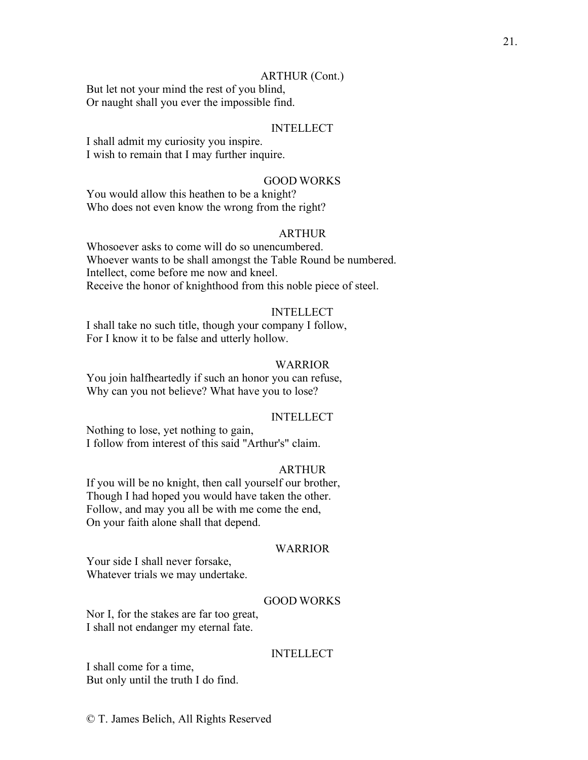#### ARTHUR (Cont.)

But let not your mind the rest of you blind, Or naught shall you ever the impossible find.

# INTELLECT

I shall admit my curiosity you inspire. I wish to remain that I may further inquire.

# GOOD WORKS

You would allow this heathen to be a knight? Who does not even know the wrong from the right?

# ARTHUR

Whosoever asks to come will do so unencumbered. Whoever wants to be shall amongst the Table Round be numbered. Intellect, come before me now and kneel. Receive the honor of knighthood from this noble piece of steel.

#### INTELLECT

I shall take no such title, though your company I follow, For I know it to be false and utterly hollow.

# WARRIOR

You join halfheartedly if such an honor you can refuse, Why can you not believe? What have you to lose?

#### INTELLECT

Nothing to lose, yet nothing to gain, I follow from interest of this said "Arthur's" claim.

# ARTHUR

If you will be no knight, then call yourself our brother, Though I had hoped you would have taken the other. Follow, and may you all be with me come the end, On your faith alone shall that depend.

#### WARRIOR

Your side I shall never forsake, Whatever trials we may undertake.

# GOOD WORKS

Nor I, for the stakes are far too great, I shall not endanger my eternal fate.

#### INTELLECT

I shall come for a time, But only until the truth I do find.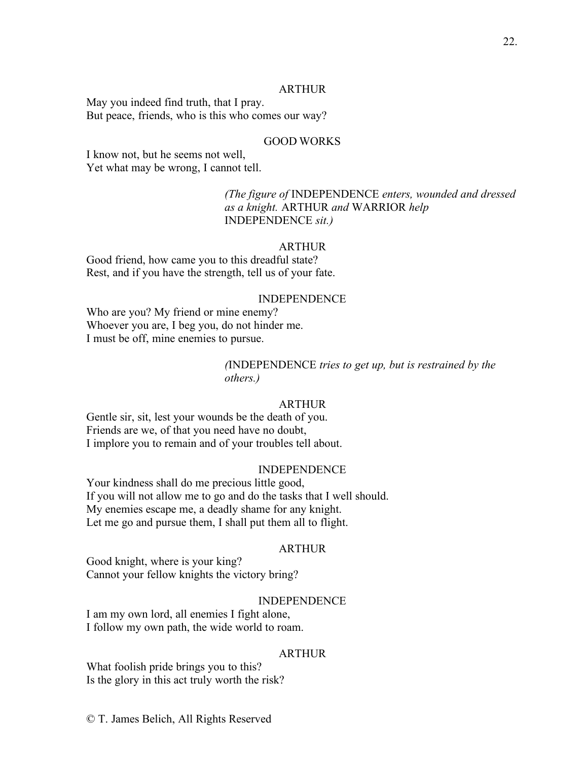# ARTHUR

May you indeed find truth, that I pray. But peace, friends, who is this who comes our way?

# GOOD WORKS

I know not, but he seems not well, Yet what may be wrong, I cannot tell.

> *(The figure of* INDEPENDENCE *enters, wounded and dressed as a knight.* ARTHUR *and* WARRIOR *help*  INDEPENDENCE *sit.)*

#### ARTHUR

Good friend, how came you to this dreadful state? Rest, and if you have the strength, tell us of your fate.

#### INDEPENDENCE

Who are you? My friend or mine enemy? Whoever you are, I beg you, do not hinder me. I must be off, mine enemies to pursue.

# *(*INDEPENDENCE *tries to get up, but is restrained by the others.)*

#### ARTHUR

Gentle sir, sit, lest your wounds be the death of you. Friends are we, of that you need have no doubt, I implore you to remain and of your troubles tell about.

## INDEPENDENCE

Your kindness shall do me precious little good, If you will not allow me to go and do the tasks that I well should. My enemies escape me, a deadly shame for any knight. Let me go and pursue them, I shall put them all to flight.

# ARTHUR

Good knight, where is your king? Cannot your fellow knights the victory bring?

#### INDEPENDENCE

I am my own lord, all enemies I fight alone, I follow my own path, the wide world to roam.

#### ARTHUR

What foolish pride brings you to this? Is the glory in this act truly worth the risk?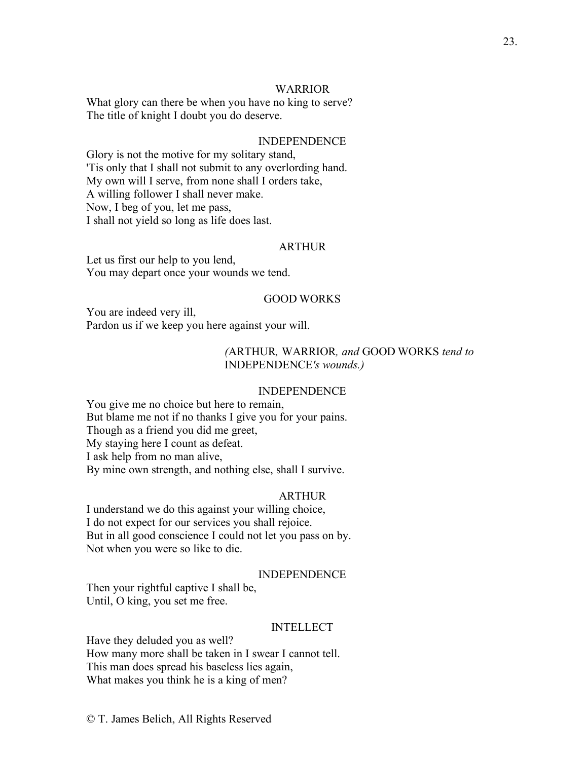### WARRIOR

What glory can there be when you have no king to serve? The title of knight I doubt you do deserve.

#### INDEPENDENCE

Glory is not the motive for my solitary stand, 'Tis only that I shall not submit to any overlording hand. My own will I serve, from none shall I orders take, A willing follower I shall never make. Now, I beg of you, let me pass, I shall not yield so long as life does last.

#### **ARTHUR**

Let us first our help to you lend, You may depart once your wounds we tend.

#### GOOD WORKS

You are indeed very ill, Pardon us if we keep you here against your will.

# *(*ARTHUR*,* WARRIOR*, and* GOOD WORKS *tend to*  INDEPENDENCE*'s wounds.)*

#### INDEPENDENCE

You give me no choice but here to remain, But blame me not if no thanks I give you for your pains. Though as a friend you did me greet, My staying here I count as defeat. I ask help from no man alive, By mine own strength, and nothing else, shall I survive.

#### ARTHUR

I understand we do this against your willing choice, I do not expect for our services you shall rejoice. But in all good conscience I could not let you pass on by. Not when you were so like to die.

## INDEPENDENCE

Then your rightful captive I shall be, Until, O king, you set me free.

#### INTELLECT

Have they deluded you as well? How many more shall be taken in I swear I cannot tell. This man does spread his baseless lies again, What makes you think he is a king of men?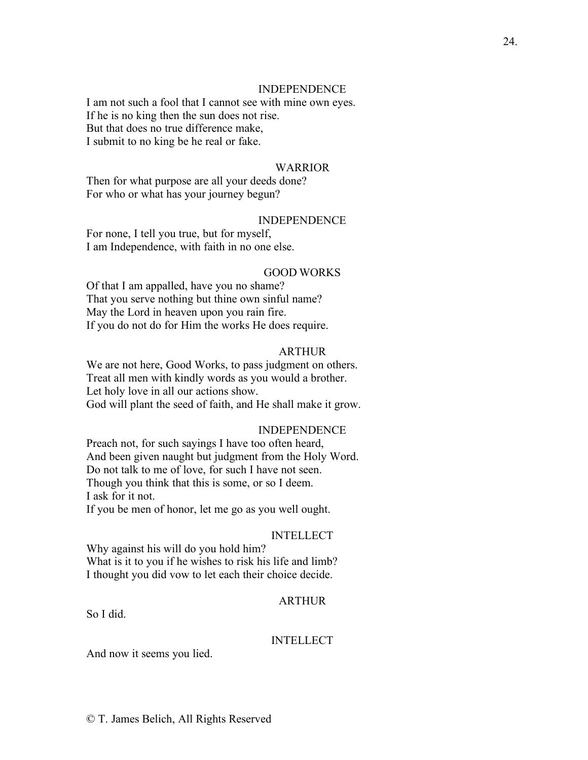#### INDEPENDENCE

I am not such a fool that I cannot see with mine own eyes. If he is no king then the sun does not rise. But that does no true difference make, I submit to no king be he real or fake.

#### WARRIOR

Then for what purpose are all your deeds done? For who or what has your journey begun?

#### INDEPENDENCE

For none, I tell you true, but for myself, I am Independence, with faith in no one else.

#### GOOD WORKS

Of that I am appalled, have you no shame? That you serve nothing but thine own sinful name? May the Lord in heaven upon you rain fire. If you do not do for Him the works He does require.

# ARTHUR

We are not here, Good Works, to pass judgment on others. Treat all men with kindly words as you would a brother. Let holy love in all our actions show. God will plant the seed of faith, and He shall make it grow.

#### INDEPENDENCE

Preach not, for such sayings I have too often heard, And been given naught but judgment from the Holy Word. Do not talk to me of love, for such I have not seen. Though you think that this is some, or so I deem. I ask for it not. If you be men of honor, let me go as you well ought.

#### INTELLECT

Why against his will do you hold him? What is it to you if he wishes to risk his life and limb? I thought you did vow to let each their choice decide.

# ARTHUR

So I did.

#### INTELLECT

And now it seems you lied.

24.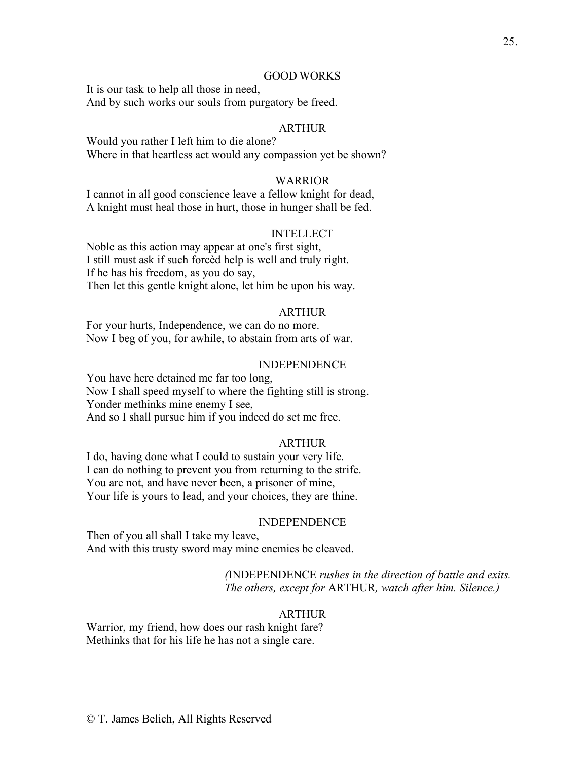#### GOOD WORKS

It is our task to help all those in need, And by such works our souls from purgatory be freed.

# ARTHUR

Would you rather I left him to die alone? Where in that heartless act would any compassion yet be shown?

# WARRIOR

I cannot in all good conscience leave a fellow knight for dead, A knight must heal those in hurt, those in hunger shall be fed.

#### INTELLECT

Noble as this action may appear at one's first sight, I still must ask if such forcèd help is well and truly right. If he has his freedom, as you do say, Then let this gentle knight alone, let him be upon his way.

# ARTHUR

For your hurts, Independence, we can do no more. Now I beg of you, for awhile, to abstain from arts of war.

# INDEPENDENCE

You have here detained me far too long, Now I shall speed myself to where the fighting still is strong. Yonder methinks mine enemy I see, And so I shall pursue him if you indeed do set me free.

#### ARTHUR

I do, having done what I could to sustain your very life. I can do nothing to prevent you from returning to the strife. You are not, and have never been, a prisoner of mine, Your life is yours to lead, and your choices, they are thine.

#### INDEPENDENCE

Then of you all shall I take my leave, And with this trusty sword may mine enemies be cleaved.

> *(*INDEPENDENCE *rushes in the direction of battle and exits. The others, except for* ARTHUR*, watch after him. Silence.)*

# ARTHUR

Warrior, my friend, how does our rash knight fare? Methinks that for his life he has not a single care.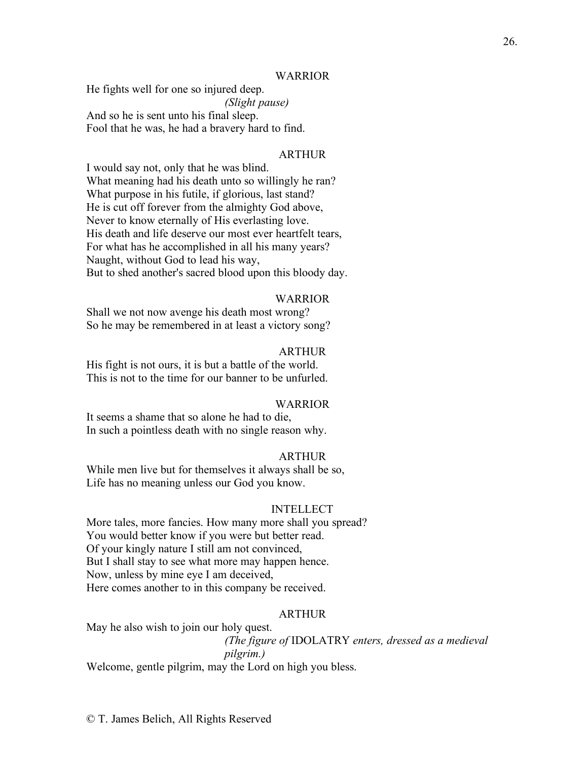#### WARRIOR

He fights well for one so injured deep. *(Slight pause)* And so he is sent unto his final sleep. Fool that he was, he had a bravery hard to find.

#### ARTHUR

I would say not, only that he was blind. What meaning had his death unto so willingly he ran? What purpose in his futile, if glorious, last stand? He is cut off forever from the almighty God above, Never to know eternally of His everlasting love. His death and life deserve our most ever heartfelt tears, For what has he accomplished in all his many years? Naught, without God to lead his way, But to shed another's sacred blood upon this bloody day.

#### WARRIOR

Shall we not now avenge his death most wrong? So he may be remembered in at least a victory song?

#### ARTHUR

His fight is not ours, it is but a battle of the world. This is not to the time for our banner to be unfurled.

#### WARRIOR

It seems a shame that so alone he had to die, In such a pointless death with no single reason why.

#### ARTHUR

While men live but for themselves it always shall be so, Life has no meaning unless our God you know.

#### INTELLECT

More tales, more fancies. How many more shall you spread? You would better know if you were but better read. Of your kingly nature I still am not convinced, But I shall stay to see what more may happen hence. Now, unless by mine eye I am deceived, Here comes another to in this company be received.

#### ARTHUR

May he also wish to join our holy quest. *(The figure of* IDOLATRY *enters, dressed as a medieval pilgrim.)* Welcome, gentle pilgrim, may the Lord on high you bless.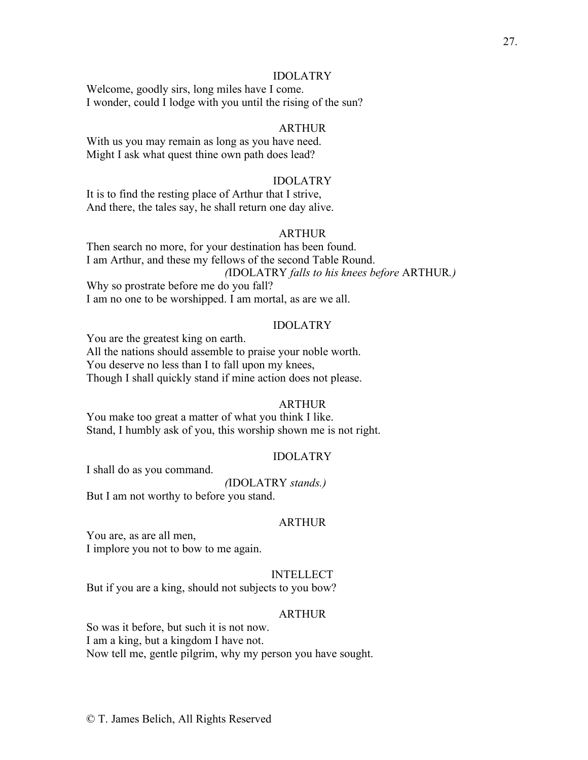#### IDOLATRY

Welcome, goodly sirs, long miles have I come. I wonder, could I lodge with you until the rising of the sun?

# ARTHUR

With us you may remain as long as you have need. Might I ask what quest thine own path does lead?

# IDOLATRY

It is to find the resting place of Arthur that I strive, And there, the tales say, he shall return one day alive.

# ARTHUR

Then search no more, for your destination has been found. I am Arthur, and these my fellows of the second Table Round. *(*IDOLATRY *falls to his knees before* ARTHUR*.)* Why so prostrate before me do you fall? I am no one to be worshipped. I am mortal, as are we all.

#### IDOLATRY

You are the greatest king on earth. All the nations should assemble to praise your noble worth. You deserve no less than I to fall upon my knees, Though I shall quickly stand if mine action does not please.

#### ARTHUR

You make too great a matter of what you think I like. Stand, I humbly ask of you, this worship shown me is not right.

## IDOLATRY

I shall do as you command.

*(*IDOLATRY *stands.)*

But I am not worthy to before you stand.

# ARTHUR

You are, as are all men, I implore you not to bow to me again.

## INTELLECT

But if you are a king, should not subjects to you bow?

#### ARTHUR

So was it before, but such it is not now. I am a king, but a kingdom I have not. Now tell me, gentle pilgrim, why my person you have sought.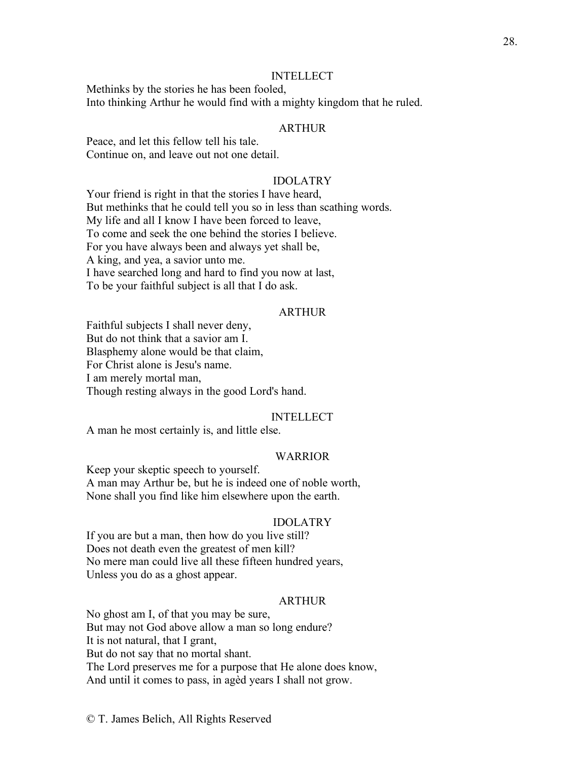#### INTELLECT

Methinks by the stories he has been fooled, Into thinking Arthur he would find with a mighty kingdom that he ruled.

# ARTHUR

Peace, and let this fellow tell his tale. Continue on, and leave out not one detail.

# IDOLATRY

Your friend is right in that the stories I have heard, But methinks that he could tell you so in less than scathing words. My life and all I know I have been forced to leave, To come and seek the one behind the stories I believe. For you have always been and always yet shall be, A king, and yea, a savior unto me. I have searched long and hard to find you now at last, To be your faithful subject is all that I do ask.

#### **ARTHUR**

Faithful subjects I shall never deny, But do not think that a savior am I. Blasphemy alone would be that claim, For Christ alone is Jesu's name. I am merely mortal man, Though resting always in the good Lord's hand.

#### INTELLECT

A man he most certainly is, and little else.

#### WARRIOR

Keep your skeptic speech to yourself. A man may Arthur be, but he is indeed one of noble worth, None shall you find like him elsewhere upon the earth.

#### IDOLATRY

If you are but a man, then how do you live still? Does not death even the greatest of men kill? No mere man could live all these fifteen hundred years, Unless you do as a ghost appear.

# ARTHUR

No ghost am I, of that you may be sure, But may not God above allow a man so long endure? It is not natural, that I grant, But do not say that no mortal shant. The Lord preserves me for a purpose that He alone does know, And until it comes to pass, in agèd years I shall not grow.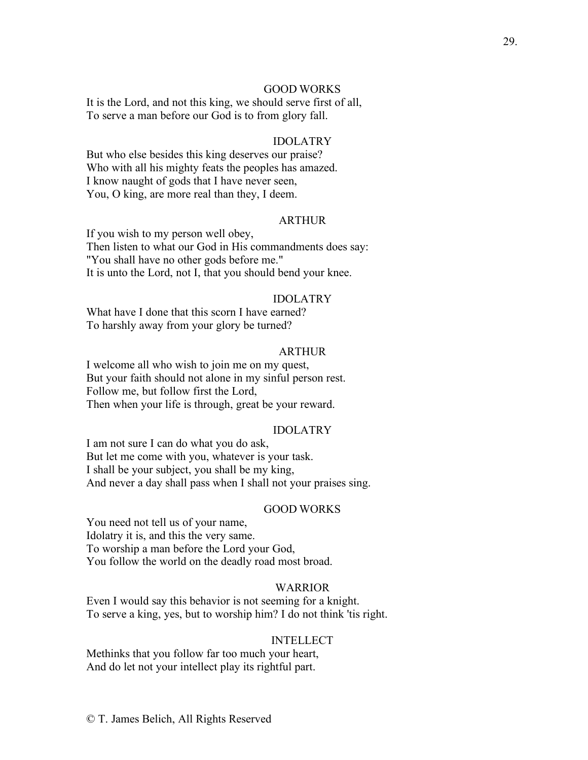## GOOD WORKS

It is the Lord, and not this king, we should serve first of all, To serve a man before our God is to from glory fall.

# IDOLATRY

But who else besides this king deserves our praise? Who with all his mighty feats the peoples has amazed. I know naught of gods that I have never seen, You, O king, are more real than they, I deem.

#### ARTHUR

If you wish to my person well obey, Then listen to what our God in His commandments does say: "You shall have no other gods before me." It is unto the Lord, not I, that you should bend your knee.

#### IDOLATRY

What have I done that this scorn I have earned? To harshly away from your glory be turned?

#### ARTHUR

I welcome all who wish to join me on my quest, But your faith should not alone in my sinful person rest. Follow me, but follow first the Lord, Then when your life is through, great be your reward.

#### IDOLATRY

I am not sure I can do what you do ask, But let me come with you, whatever is your task. I shall be your subject, you shall be my king, And never a day shall pass when I shall not your praises sing.

#### GOOD WORKS

You need not tell us of your name, Idolatry it is, and this the very same. To worship a man before the Lord your God, You follow the world on the deadly road most broad.

## WARRIOR

Even I would say this behavior is not seeming for a knight. To serve a king, yes, but to worship him? I do not think 'tis right.

#### **INTELLECT**

Methinks that you follow far too much your heart, And do let not your intellect play its rightful part.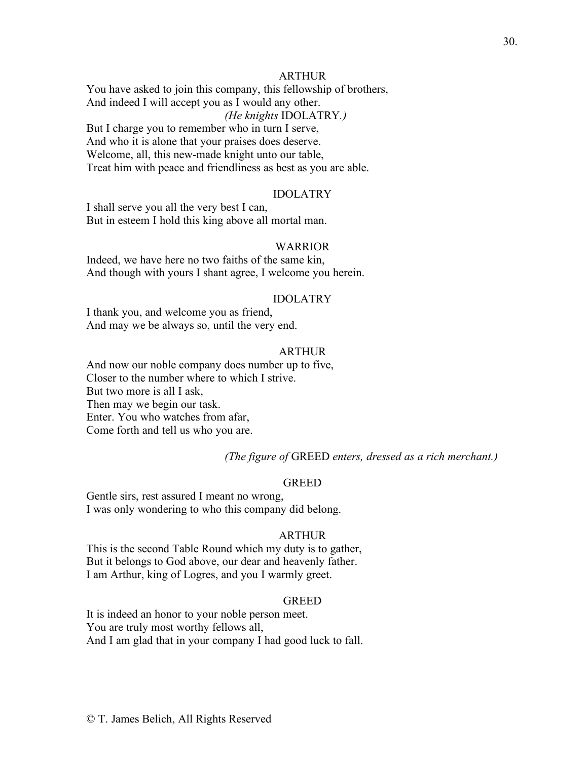# ARTHUR

You have asked to join this company, this fellowship of brothers, And indeed I will accept you as I would any other. *(He knights* IDOLATRY*.)* But I charge you to remember who in turn I serve,

And who it is alone that your praises does deserve. Welcome, all, this new-made knight unto our table, Treat him with peace and friendliness as best as you are able.

#### IDOLATRY

I shall serve you all the very best I can, But in esteem I hold this king above all mortal man.

#### WARRIOR

Indeed, we have here no two faiths of the same kin, And though with yours I shant agree, I welcome you herein.

#### IDOLATRY

I thank you, and welcome you as friend, And may we be always so, until the very end.

# ARTHUR

And now our noble company does number up to five, Closer to the number where to which I strive. But two more is all I ask, Then may we begin our task. Enter. You who watches from afar, Come forth and tell us who you are.

*(The figure of* GREED *enters, dressed as a rich merchant.)*

# GREED

Gentle sirs, rest assured I meant no wrong, I was only wondering to who this company did belong.

#### ARTHUR

This is the second Table Round which my duty is to gather, But it belongs to God above, our dear and heavenly father. I am Arthur, king of Logres, and you I warmly greet.

#### GREED

It is indeed an honor to your noble person meet. You are truly most worthy fellows all, And I am glad that in your company I had good luck to fall.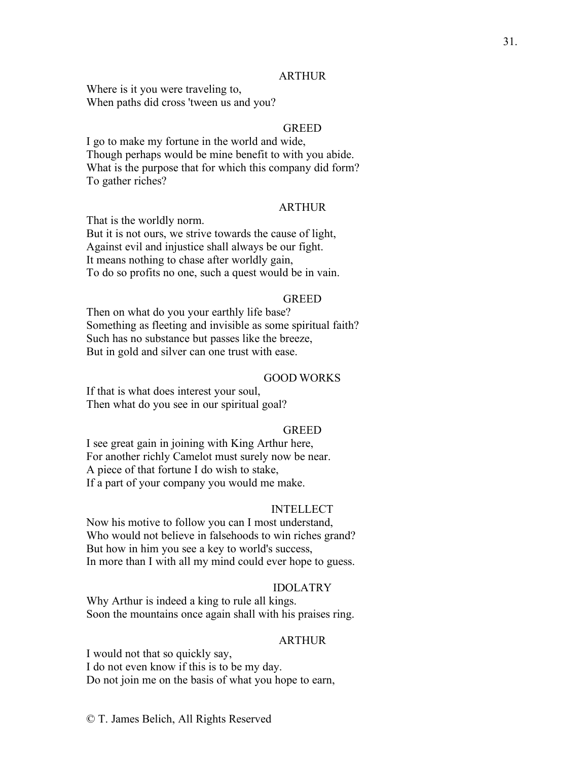#### ARTHUR

Where is it you were traveling to, When paths did cross 'tween us and you?

# **GREED**

I go to make my fortune in the world and wide, Though perhaps would be mine benefit to with you abide. What is the purpose that for which this company did form? To gather riches?

# ARTHUR

That is the worldly norm.

But it is not ours, we strive towards the cause of light, Against evil and injustice shall always be our fight. It means nothing to chase after worldly gain, To do so profits no one, such a quest would be in vain.

#### GREED

Then on what do you your earthly life base? Something as fleeting and invisible as some spiritual faith? Such has no substance but passes like the breeze, But in gold and silver can one trust with ease.

#### GOOD WORKS

If that is what does interest your soul, Then what do you see in our spiritual goal?

# **GREED**

I see great gain in joining with King Arthur here, For another richly Camelot must surely now be near. A piece of that fortune I do wish to stake, If a part of your company you would me make.

#### INTELLECT

Now his motive to follow you can I most understand, Who would not believe in falsehoods to win riches grand? But how in him you see a key to world's success, In more than I with all my mind could ever hope to guess.

# IDOLATRY

Why Arthur is indeed a king to rule all kings. Soon the mountains once again shall with his praises ring.

# ARTHUR

I would not that so quickly say, I do not even know if this is to be my day. Do not join me on the basis of what you hope to earn,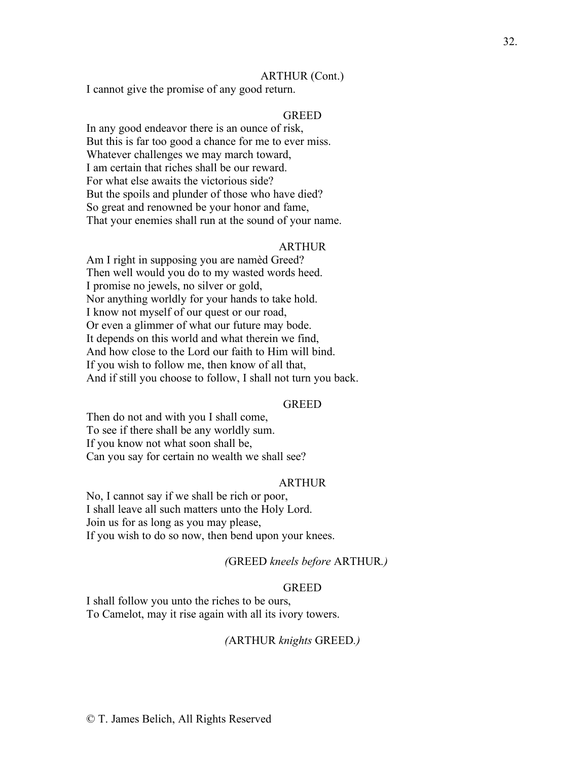#### ARTHUR (Cont.)

I cannot give the promise of any good return.

# **GREED**

In any good endeavor there is an ounce of risk, But this is far too good a chance for me to ever miss. Whatever challenges we may march toward, I am certain that riches shall be our reward. For what else awaits the victorious side? But the spoils and plunder of those who have died? So great and renowned be your honor and fame, That your enemies shall run at the sound of your name.

#### ARTHUR

Am I right in supposing you are namèd Greed? Then well would you do to my wasted words heed. I promise no jewels, no silver or gold, Nor anything worldly for your hands to take hold. I know not myself of our quest or our road, Or even a glimmer of what our future may bode. It depends on this world and what therein we find, And how close to the Lord our faith to Him will bind. If you wish to follow me, then know of all that, And if still you choose to follow, I shall not turn you back.

#### GREED

Then do not and with you I shall come, To see if there shall be any worldly sum. If you know not what soon shall be, Can you say for certain no wealth we shall see?

#### ARTHUR

No, I cannot say if we shall be rich or poor, I shall leave all such matters unto the Holy Lord. Join us for as long as you may please, If you wish to do so now, then bend upon your knees.

#### *(*GREED *kneels before* ARTHUR*.)*

#### **GREED**

I shall follow you unto the riches to be ours, To Camelot, may it rise again with all its ivory towers.

#### *(*ARTHUR *knights* GREED*.)*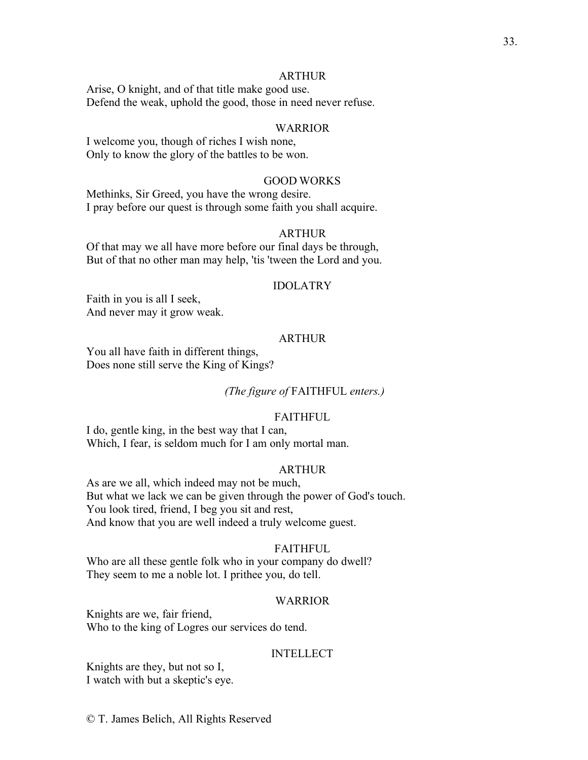#### ARTHUR

Arise, O knight, and of that title make good use. Defend the weak, uphold the good, those in need never refuse.

# WARRIOR

I welcome you, though of riches I wish none, Only to know the glory of the battles to be won.

# GOOD WORKS

Methinks, Sir Greed, you have the wrong desire. I pray before our quest is through some faith you shall acquire.

# ARTHUR

Of that may we all have more before our final days be through, But of that no other man may help, 'tis 'tween the Lord and you.

#### IDOLATRY

Faith in you is all I seek, And never may it grow weak.

# ARTHUR

You all have faith in different things, Does none still serve the King of Kings?

# *(The figure of* FAITHFUL *enters.)*

#### FAITHFUL

I do, gentle king, in the best way that I can, Which, I fear, is seldom much for I am only mortal man.

# ARTHUR

As are we all, which indeed may not be much, But what we lack we can be given through the power of God's touch. You look tired, friend, I beg you sit and rest, And know that you are well indeed a truly welcome guest.

#### FAITHFUL

Who are all these gentle folk who in your company do dwell? They seem to me a noble lot. I prithee you, do tell.

#### WARRIOR

Knights are we, fair friend, Who to the king of Logres our services do tend.

#### INTELLECT

Knights are they, but not so I, I watch with but a skeptic's eye.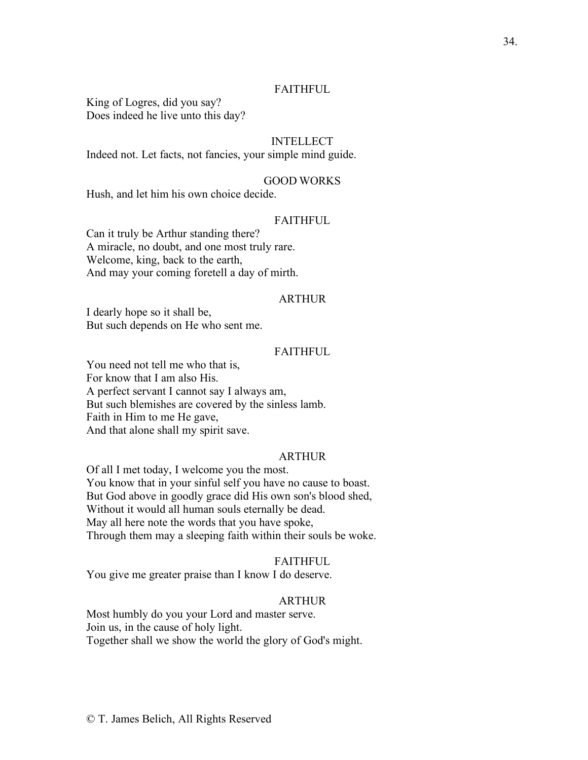# FAITHFUL

King of Logres, did you say? Does indeed he live unto this day?

# INTELLECT

Indeed not. Let facts, not fancies, your simple mind guide.

# GOOD WORKS

Hush, and let him his own choice decide.

#### **FAITHFUL**

Can it truly be Arthur standing there? A miracle, no doubt, and one most truly rare. Welcome, king, back to the earth, And may your coming foretell a day of mirth.

#### ARTHUR

I dearly hope so it shall be, But such depends on He who sent me.

#### FAITHFUL

You need not tell me who that is, For know that I am also His. A perfect servant I cannot say I always am, But such blemishes are covered by the sinless lamb. Faith in Him to me He gave, And that alone shall my spirit save.

#### ARTHUR

Of all I met today, I welcome you the most. You know that in your sinful self you have no cause to boast. But God above in goodly grace did His own son's blood shed, Without it would all human souls eternally be dead. May all here note the words that you have spoke, Through them may a sleeping faith within their souls be woke.

#### FAITHFUL

You give me greater praise than I know I do deserve.

# ARTHUR

Most humbly do you your Lord and master serve. Join us, in the cause of holy light. Together shall we show the world the glory of God's might.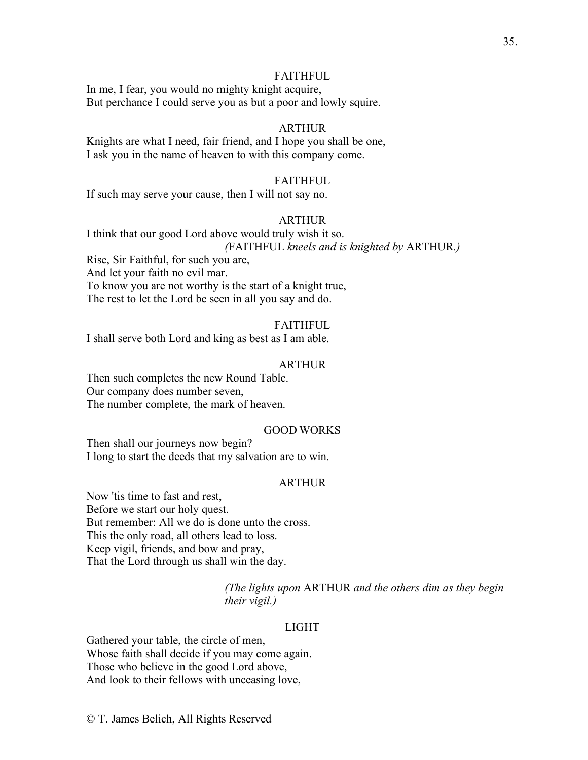## **FAITHFUL**

In me, I fear, you would no mighty knight acquire, But perchance I could serve you as but a poor and lowly squire.

# ARTHUR

Knights are what I need, fair friend, and I hope you shall be one, I ask you in the name of heaven to with this company come.

#### FAITHFUL

If such may serve your cause, then I will not say no.

#### ARTHUR

I think that our good Lord above would truly wish it so. *(*FAITHFUL *kneels and is knighted by* ARTHUR*.)*

Rise, Sir Faithful, for such you are,

And let your faith no evil mar.

To know you are not worthy is the start of a knight true, The rest to let the Lord be seen in all you say and do.

#### **FAITHFUL**

I shall serve both Lord and king as best as I am able.

#### ARTHUR

Then such completes the new Round Table. Our company does number seven, The number complete, the mark of heaven.

# GOOD WORKS

Then shall our journeys now begin? I long to start the deeds that my salvation are to win.

# ARTHUR

Now 'tis time to fast and rest, Before we start our holy quest. But remember: All we do is done unto the cross. This the only road, all others lead to loss. Keep vigil, friends, and bow and pray, That the Lord through us shall win the day.

> *(The lights upon* ARTHUR *and the others dim as they begin their vigil.)*

# LIGHT

Gathered your table, the circle of men, Whose faith shall decide if you may come again. Those who believe in the good Lord above, And look to their fellows with unceasing love,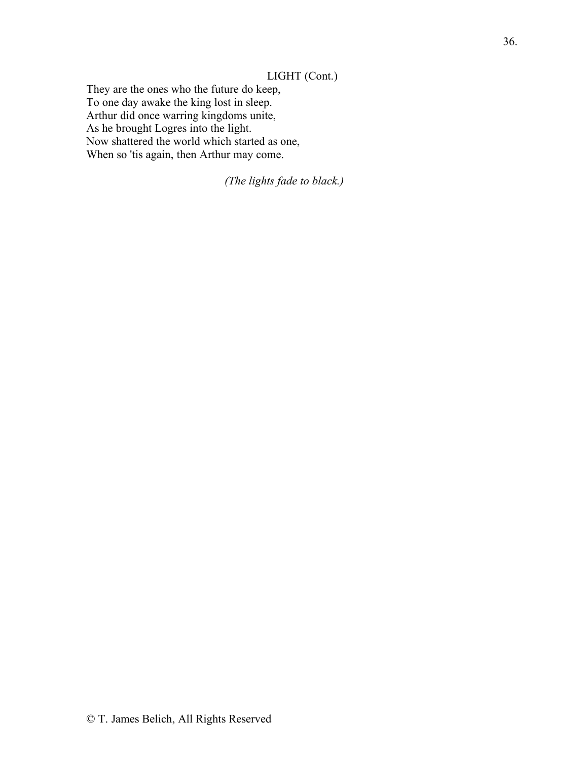# LIGHT (Cont.)

They are the ones who the future do keep, To one day awake the king lost in sleep. Arthur did once warring kingdoms unite, As he brought Logres into the light. Now shattered the world which started as one, When so 'tis again, then Arthur may come.

*(The lights fade to black.)*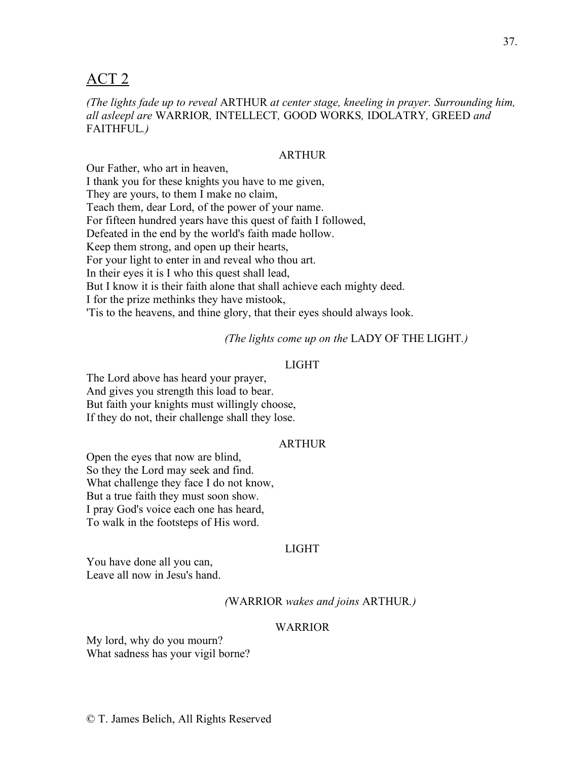# ACT 2

*(The lights fade up to reveal* ARTHUR *at center stage, kneeling in prayer. Surrounding him, all asleepl are* WARRIOR*,* INTELLECT*,* GOOD WORKS*,* IDOLATRY*,* GREED *and*  FAITHFUL*.)*

# ARTHUR

Our Father, who art in heaven, I thank you for these knights you have to me given, They are yours, to them I make no claim, Teach them, dear Lord, of the power of your name. For fifteen hundred years have this quest of faith I followed, Defeated in the end by the world's faith made hollow. Keep them strong, and open up their hearts, For your light to enter in and reveal who thou art. In their eyes it is I who this quest shall lead, But I know it is their faith alone that shall achieve each mighty deed. I for the prize methinks they have mistook, 'Tis to the heavens, and thine glory, that their eyes should always look.

*(The lights come up on the* LADY OF THE LIGHT*.)*

# LIGHT

The Lord above has heard your prayer, And gives you strength this load to bear. But faith your knights must willingly choose, If they do not, their challenge shall they lose.

# ARTHUR

Open the eyes that now are blind, So they the Lord may seek and find. What challenge they face I do not know, But a true faith they must soon show. I pray God's voice each one has heard, To walk in the footsteps of His word.

# LIGHT

You have done all you can, Leave all now in Jesu's hand.

*(*WARRIOR *wakes and joins* ARTHUR*.)*

# WARRIOR

My lord, why do you mourn? What sadness has your vigil borne?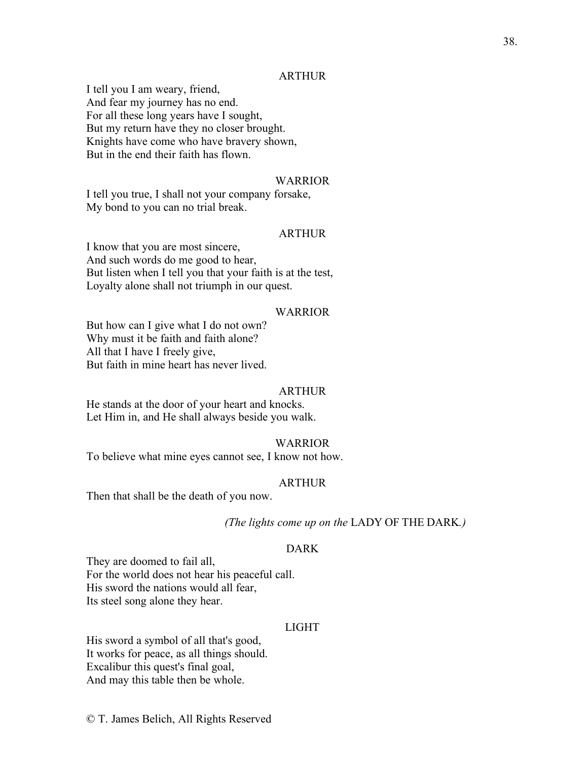# ARTHUR

I tell you I am weary, friend, And fear my journey has no end. For all these long years have I sought, But my return have they no closer brought. Knights have come who have bravery shown, But in the end their faith has flown.

# WARRIOR

I tell you true, I shall not your company forsake, My bond to you can no trial break.

# ARTHUR

I know that you are most sincere, And such words do me good to hear, But listen when I tell you that your faith is at the test, Loyalty alone shall not triumph in our quest.

#### WARRIOR

But how can I give what I do not own? Why must it be faith and faith alone? All that I have I freely give, But faith in mine heart has never lived.

#### ARTHUR

He stands at the door of your heart and knocks. Let Him in, and He shall always beside you walk.

#### WARRIOR

To believe what mine eyes cannot see, I know not how.

#### ARTHUR

Then that shall be the death of you now.

# *(The lights come up on the* LADY OF THE DARK*.)*

# DARK

They are doomed to fail all, For the world does not hear his peaceful call. His sword the nations would all fear, Its steel song alone they hear.

# LIGHT

His sword a symbol of all that's good, It works for peace, as all things should. Excalibur this quest's final goal, And may this table then be whole.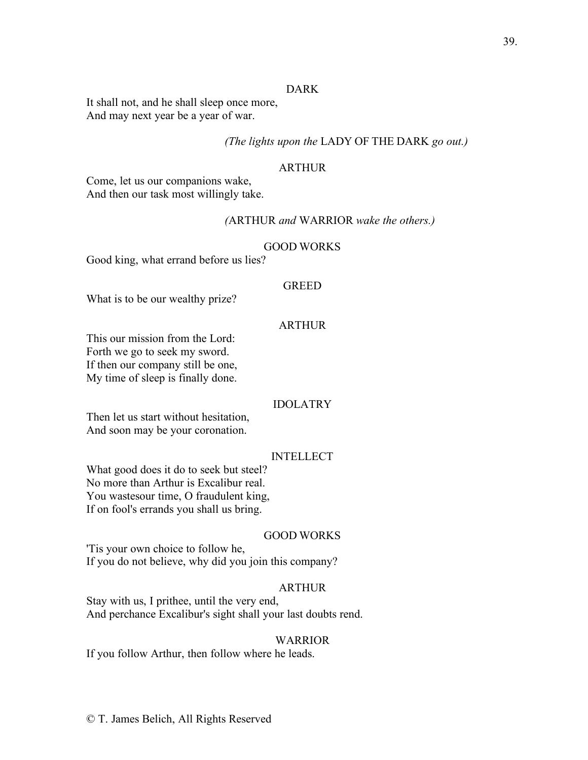# DARK

It shall not, and he shall sleep once more, And may next year be a year of war.

# *(The lights upon the* LADY OF THE DARK *go out.)*

#### ARTHUR

Come, let us our companions wake, And then our task most willingly take.

#### *(*ARTHUR *and* WARRIOR *wake the others.)*

#### GOOD WORKS

Good king, what errand before us lies?

# GREED

What is to be our wealthy prize?

# ARTHUR

This our mission from the Lord: Forth we go to seek my sword. If then our company still be one, My time of sleep is finally done.

#### IDOLATRY

Then let us start without hesitation, And soon may be your coronation.

# INTELLECT

What good does it do to seek but steel? No more than Arthur is Excalibur real. You wastesour time, O fraudulent king, If on fool's errands you shall us bring.

# GOOD WORKS

'Tis your own choice to follow he, If you do not believe, why did you join this company?

# ARTHUR

Stay with us, I prithee, until the very end, And perchance Excalibur's sight shall your last doubts rend.

#### WARRIOR

If you follow Arthur, then follow where he leads.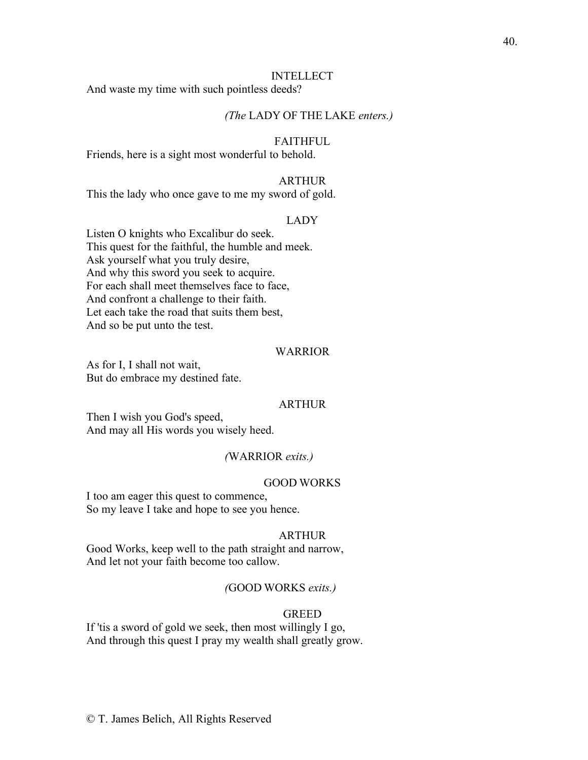#### INTELLECT

And waste my time with such pointless deeds?

# *(The* LADY OF THE LAKE *enters.)*

# FAITHFUL

Friends, here is a sight most wonderful to behold.

#### ARTHUR

This the lady who once gave to me my sword of gold.

#### LADY

Listen O knights who Excalibur do seek. This quest for the faithful, the humble and meek. Ask yourself what you truly desire, And why this sword you seek to acquire. For each shall meet themselves face to face, And confront a challenge to their faith. Let each take the road that suits them best, And so be put unto the test.

#### WARRIOR

As for I, I shall not wait, But do embrace my destined fate.

#### ARTHUR

Then I wish you God's speed, And may all His words you wisely heed.

## *(*WARRIOR *exits.)*

# GOOD WORKS

I too am eager this quest to commence, So my leave I take and hope to see you hence.

#### ARTHUR

Good Works, keep well to the path straight and narrow, And let not your faith become too callow.

# *(*GOOD WORKS *exits.)*

# GREED

If 'tis a sword of gold we seek, then most willingly I go, And through this quest I pray my wealth shall greatly grow.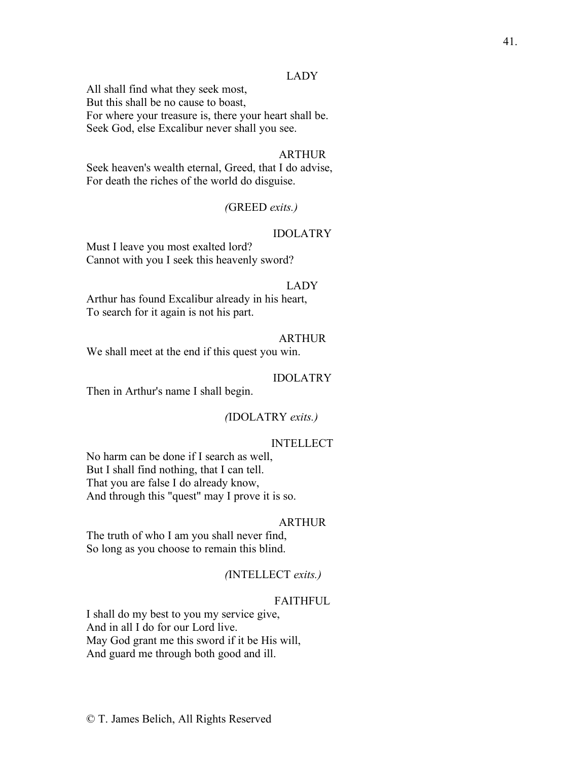# LADY

All shall find what they seek most, But this shall be no cause to boast, For where your treasure is, there your heart shall be. Seek God, else Excalibur never shall you see.

#### ARTHUR

Seek heaven's wealth eternal, Greed, that I do advise, For death the riches of the world do disguise.

# *(*GREED *exits.)*

# IDOLATRY

Must I leave you most exalted lord? Cannot with you I seek this heavenly sword?

#### LADY

Arthur has found Excalibur already in his heart, To search for it again is not his part.

# ARTHUR

We shall meet at the end if this quest you win.

#### IDOLATRY

Then in Arthur's name I shall begin.

# *(*IDOLATRY *exits.)*

#### INTELLECT

No harm can be done if I search as well, But I shall find nothing, that I can tell. That you are false I do already know, And through this "quest" may I prove it is so.

# ARTHUR

The truth of who I am you shall never find, So long as you choose to remain this blind.

## *(*INTELLECT *exits.)*

# **FAITHFUL**

I shall do my best to you my service give, And in all I do for our Lord live. May God grant me this sword if it be His will, And guard me through both good and ill.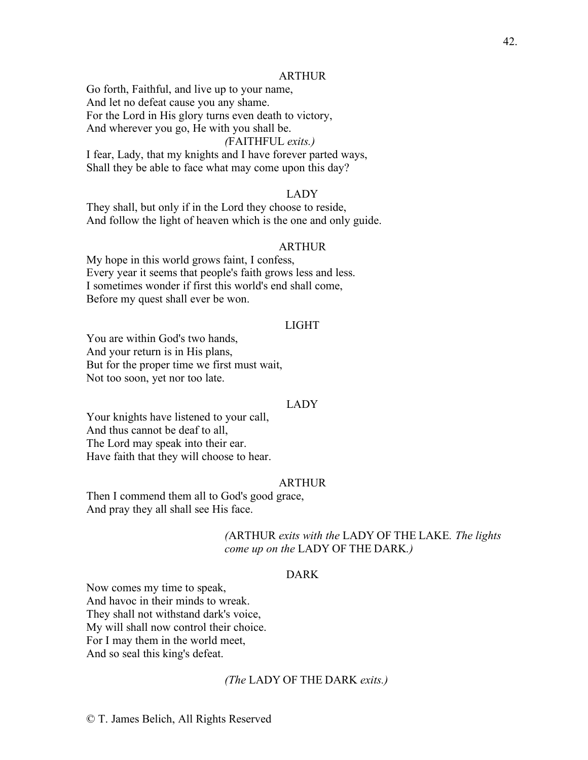#### ARTHUR

Go forth, Faithful, and live up to your name, And let no defeat cause you any shame. For the Lord in His glory turns even death to victory, And wherever you go, He with you shall be.

## *(*FAITHFUL *exits.)*

I fear, Lady, that my knights and I have forever parted ways, Shall they be able to face what may come upon this day?

#### LADY

They shall, but only if in the Lord they choose to reside, And follow the light of heaven which is the one and only guide.

#### ARTHUR

My hope in this world grows faint, I confess, Every year it seems that people's faith grows less and less. I sometimes wonder if first this world's end shall come, Before my quest shall ever be won.

#### LIGHT

You are within God's two hands, And your return is in His plans, But for the proper time we first must wait, Not too soon, yet nor too late.

# LADY

Your knights have listened to your call, And thus cannot be deaf to all, The Lord may speak into their ear. Have faith that they will choose to hear.

#### ARTHUR

Then I commend them all to God's good grace, And pray they all shall see His face.

# *(*ARTHUR *exits with the* LADY OF THE LAKE*. The lights come up on the* LADY OF THE DARK*.)*

# DARK

Now comes my time to speak, And havoc in their minds to wreak. They shall not withstand dark's voice, My will shall now control their choice. For I may them in the world meet, And so seal this king's defeat.

# *(The* LADY OF THE DARK *exits.)*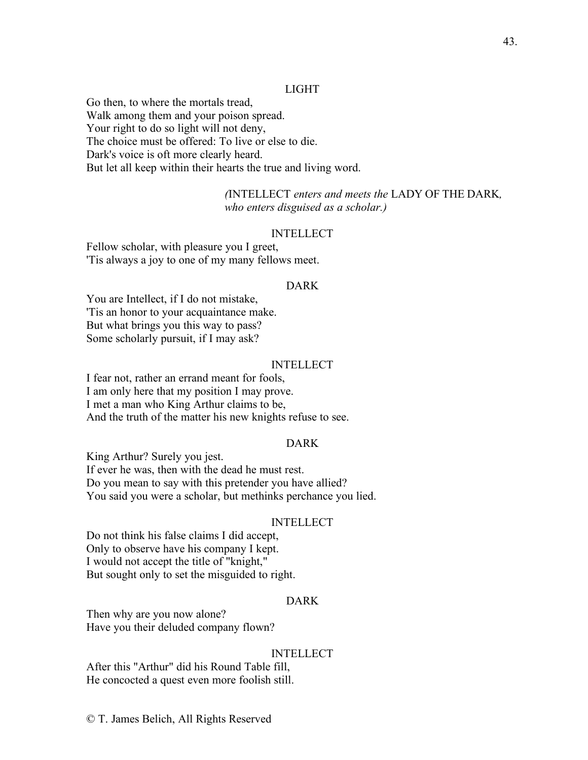# LIGHT

Go then, to where the mortals tread, Walk among them and your poison spread. Your right to do so light will not deny, The choice must be offered: To live or else to die. Dark's voice is oft more clearly heard. But let all keep within their hearts the true and living word.

> *(*INTELLECT *enters and meets the* LADY OF THE DARK*, who enters disguised as a scholar.)*

#### INTELLECT

Fellow scholar, with pleasure you I greet, 'Tis always a joy to one of my many fellows meet.

#### DARK

You are Intellect, if I do not mistake, 'Tis an honor to your acquaintance make. But what brings you this way to pass? Some scholarly pursuit, if I may ask?

# INTELLECT

I fear not, rather an errand meant for fools, I am only here that my position I may prove. I met a man who King Arthur claims to be, And the truth of the matter his new knights refuse to see.

# DARK

King Arthur? Surely you jest. If ever he was, then with the dead he must rest. Do you mean to say with this pretender you have allied? You said you were a scholar, but methinks perchance you lied.

# INTELLECT

Do not think his false claims I did accept, Only to observe have his company I kept. I would not accept the title of "knight," But sought only to set the misguided to right.

# DARK

Then why are you now alone? Have you their deluded company flown?

# INTELLECT

After this "Arthur" did his Round Table fill, He concocted a quest even more foolish still.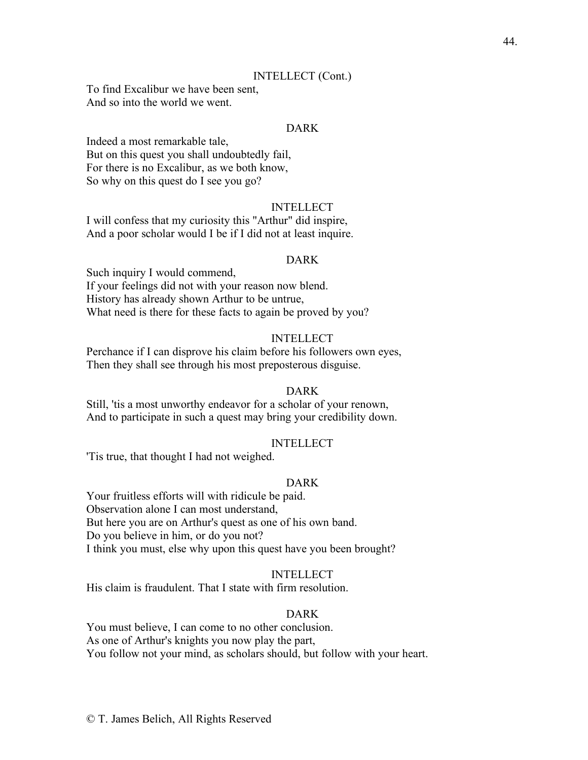# INTELLECT (Cont.)

To find Excalibur we have been sent, And so into the world we went.

# DARK

Indeed a most remarkable tale, But on this quest you shall undoubtedly fail, For there is no Excalibur, as we both know, So why on this quest do I see you go?

# INTELLECT

I will confess that my curiosity this "Arthur" did inspire, And a poor scholar would I be if I did not at least inquire.

#### DARK

Such inquiry I would commend, If your feelings did not with your reason now blend. History has already shown Arthur to be untrue, What need is there for these facts to again be proved by you?

#### INTELLECT

Perchance if I can disprove his claim before his followers own eyes, Then they shall see through his most preposterous disguise.

# DARK

Still, 'tis a most unworthy endeavor for a scholar of your renown, And to participate in such a quest may bring your credibility down.

#### INTELLECT

'Tis true, that thought I had not weighed.

#### DARK

Your fruitless efforts will with ridicule be paid. Observation alone I can most understand, But here you are on Arthur's quest as one of his own band. Do you believe in him, or do you not? I think you must, else why upon this quest have you been brought?

# INTELLECT

His claim is fraudulent. That I state with firm resolution.

#### DARK

You must believe, I can come to no other conclusion. As one of Arthur's knights you now play the part, You follow not your mind, as scholars should, but follow with your heart.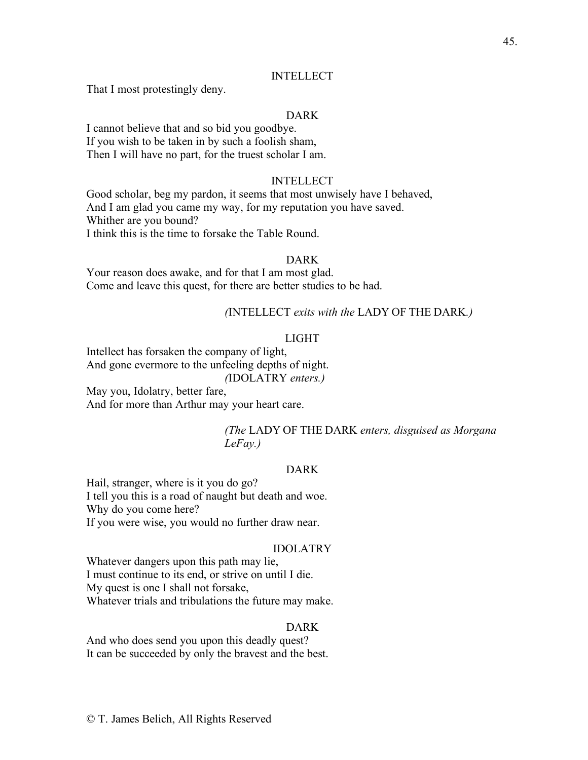# INTELLECT

That I most protestingly deny.

# DARK

I cannot believe that and so bid you goodbye. If you wish to be taken in by such a foolish sham, Then I will have no part, for the truest scholar I am.

#### INTELLECT

Good scholar, beg my pardon, it seems that most unwisely have I behaved, And I am glad you came my way, for my reputation you have saved. Whither are you bound? I think this is the time to forsake the Table Round.

#### DARK

Your reason does awake, and for that I am most glad. Come and leave this quest, for there are better studies to be had.

# *(*INTELLECT *exits with the* LADY OF THE DARK*.)*

# LIGHT

Intellect has forsaken the company of light, And gone evermore to the unfeeling depths of night. *(*IDOLATRY *enters.)* May you, Idolatry, better fare,

And for more than Arthur may your heart care.

# *(The* LADY OF THE DARK *enters, disguised as Morgana LeFay.)*

# DARK

Hail, stranger, where is it you do go? I tell you this is a road of naught but death and woe. Why do you come here? If you were wise, you would no further draw near.

#### IDOLATRY

Whatever dangers upon this path may lie, I must continue to its end, or strive on until I die. My quest is one I shall not forsake, Whatever trials and tribulations the future may make.

# DARK

And who does send you upon this deadly quest? It can be succeeded by only the bravest and the best.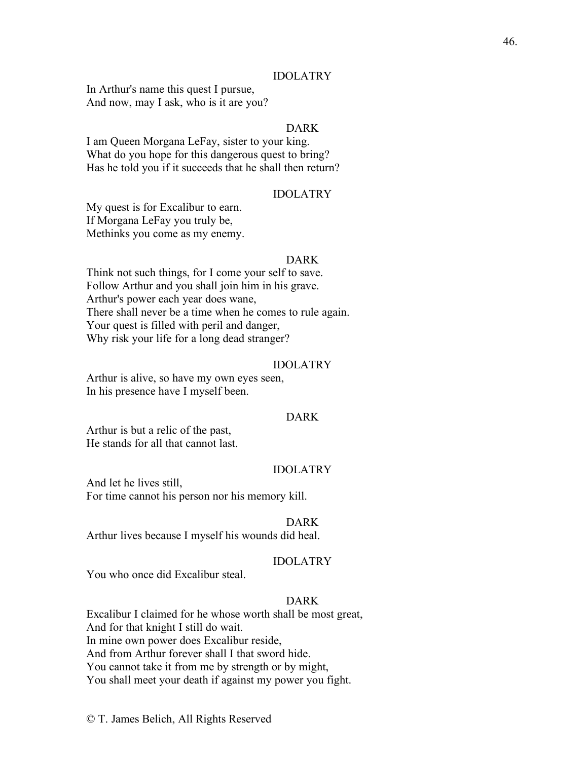#### IDOLATRY

In Arthur's name this quest I pursue, And now, may I ask, who is it are you?

# DARK

I am Queen Morgana LeFay, sister to your king. What do you hope for this dangerous quest to bring? Has he told you if it succeeds that he shall then return?

#### IDOLATRY

My quest is for Excalibur to earn. If Morgana LeFay you truly be, Methinks you come as my enemy.

#### DARK

Think not such things, for I come your self to save. Follow Arthur and you shall join him in his grave. Arthur's power each year does wane, There shall never be a time when he comes to rule again. Your quest is filled with peril and danger, Why risk your life for a long dead stranger?

#### IDOLATRY

Arthur is alive, so have my own eyes seen, In his presence have I myself been.

# DARK

Arthur is but a relic of the past, He stands for all that cannot last.

## IDOLATRY

And let he lives still, For time cannot his person nor his memory kill.

#### DARK

Arthur lives because I myself his wounds did heal.

# IDOLATRY

You who once did Excalibur steal.

# DARK

Excalibur I claimed for he whose worth shall be most great, And for that knight I still do wait. In mine own power does Excalibur reside, And from Arthur forever shall I that sword hide. You cannot take it from me by strength or by might, You shall meet your death if against my power you fight.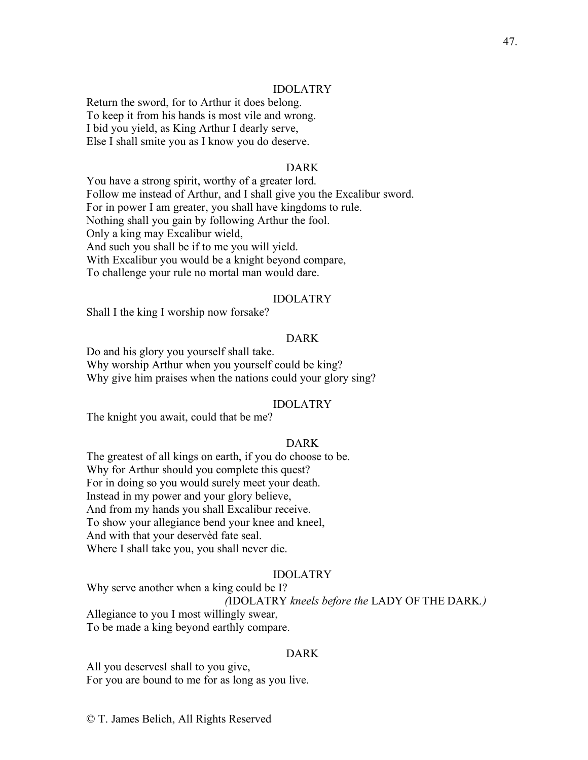# IDOLATRY

Return the sword, for to Arthur it does belong. To keep it from his hands is most vile and wrong. I bid you yield, as King Arthur I dearly serve, Else I shall smite you as I know you do deserve.

#### DARK

You have a strong spirit, worthy of a greater lord. Follow me instead of Arthur, and I shall give you the Excalibur sword. For in power I am greater, you shall have kingdoms to rule. Nothing shall you gain by following Arthur the fool. Only a king may Excalibur wield, And such you shall be if to me you will yield. With Excalibur you would be a knight beyond compare, To challenge your rule no mortal man would dare.

#### IDOLATRY

Shall I the king I worship now forsake?

# DARK

Do and his glory you yourself shall take. Why worship Arthur when you yourself could be king? Why give him praises when the nations could your glory sing?

#### IDOLATRY

The knight you await, could that be me?

# DARK

The greatest of all kings on earth, if you do choose to be. Why for Arthur should you complete this quest? For in doing so you would surely meet your death. Instead in my power and your glory believe, And from my hands you shall Excalibur receive. To show your allegiance bend your knee and kneel, And with that your deservèd fate seal. Where I shall take you, you shall never die.

# IDOLATRY

Why serve another when a king could be I?

# *(*IDOLATRY *kneels before the* LADY OF THE DARK*.)*

Allegiance to you I most willingly swear,

To be made a king beyond earthly compare.

#### DARK

All you deservesI shall to you give, For you are bound to me for as long as you live.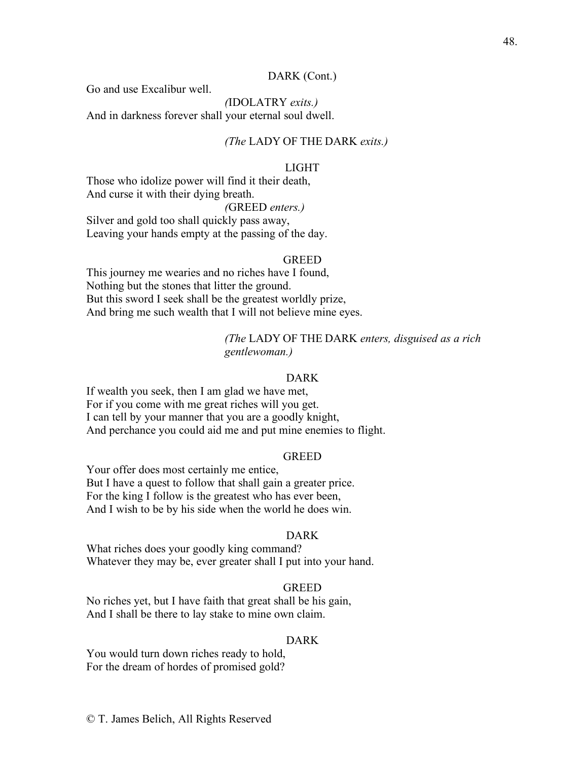# DARK (Cont.)

Go and use Excalibur well.

*(*IDOLATRY *exits.)* And in darkness forever shall your eternal soul dwell.

# *(The* LADY OF THE DARK *exits.)*

#### LIGHT

Those who idolize power will find it their death, And curse it with their dying breath.

# *(*GREED *enters.)*

Silver and gold too shall quickly pass away, Leaving your hands empty at the passing of the day.

#### GREED

This journey me wearies and no riches have I found, Nothing but the stones that litter the ground. But this sword I seek shall be the greatest worldly prize, And bring me such wealth that I will not believe mine eyes.

# *(The* LADY OF THE DARK *enters, disguised as a rich gentlewoman.)*

#### DARK

If wealth you seek, then I am glad we have met, For if you come with me great riches will you get. I can tell by your manner that you are a goodly knight, And perchance you could aid me and put mine enemies to flight.

## **GREED**

Your offer does most certainly me entice, But I have a quest to follow that shall gain a greater price. For the king I follow is the greatest who has ever been, And I wish to be by his side when the world he does win.

#### DARK

What riches does your goodly king command? Whatever they may be, ever greater shall I put into your hand.

# **GREED**

No riches yet, but I have faith that great shall be his gain, And I shall be there to lay stake to mine own claim.

# DARK

You would turn down riches ready to hold, For the dream of hordes of promised gold?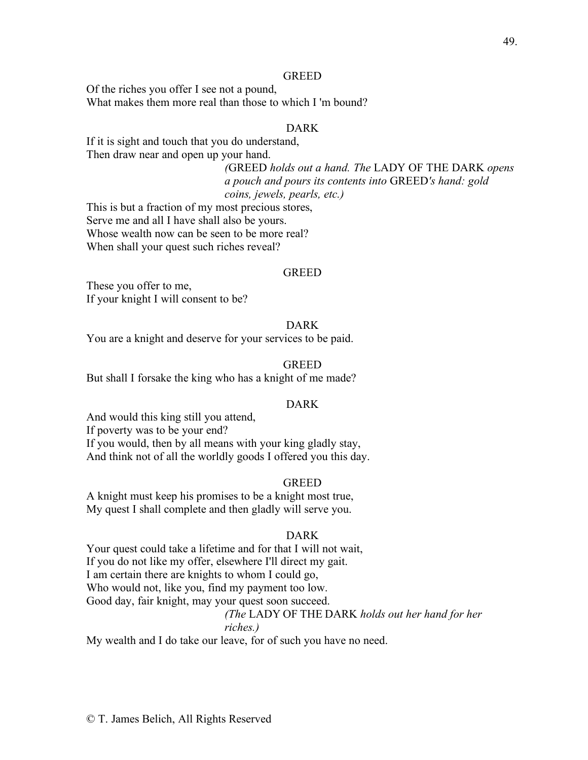#### GREED

Of the riches you offer I see not a pound, What makes them more real than those to which I 'm bound?

# DARK

If it is sight and touch that you do understand, Then draw near and open up your hand.

> *(*GREED *holds out a hand. The* LADY OF THE DARK *opens a pouch and pours its contents into* GREED*'s hand: gold coins, jewels, pearls, etc.)*

This is but a fraction of my most precious stores, Serve me and all I have shall also be yours. Whose wealth now can be seen to be more real? When shall your quest such riches reveal?

#### **GREED**

These you offer to me, If your knight I will consent to be?

# DARK

You are a knight and deserve for your services to be paid.

# GREED

But shall I forsake the king who has a knight of me made?

#### DARK

And would this king still you attend, If poverty was to be your end? If you would, then by all means with your king gladly stay, And think not of all the worldly goods I offered you this day.

#### GREED

A knight must keep his promises to be a knight most true, My quest I shall complete and then gladly will serve you.

#### DARK

Your quest could take a lifetime and for that I will not wait, If you do not like my offer, elsewhere I'll direct my gait. I am certain there are knights to whom I could go, Who would not, like you, find my payment too low. Good day, fair knight, may your quest soon succeed. *(The* LADY OF THE DARK *holds out her hand for her riches.)*

My wealth and I do take our leave, for of such you have no need.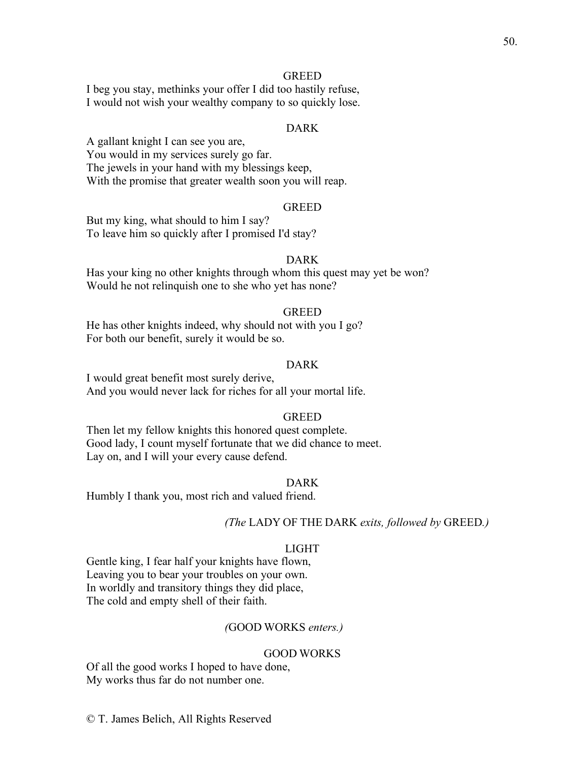# GREED

I beg you stay, methinks your offer I did too hastily refuse, I would not wish your wealthy company to so quickly lose.

# DARK

A gallant knight I can see you are, You would in my services surely go far. The jewels in your hand with my blessings keep, With the promise that greater wealth soon you will reap.

# GREED

But my king, what should to him I say? To leave him so quickly after I promised I'd stay?

# DARK

Has your king no other knights through whom this quest may yet be won? Would he not relinquish one to she who yet has none?

#### **GREED**

He has other knights indeed, why should not with you I go? For both our benefit, surely it would be so.

# DARK

I would great benefit most surely derive, And you would never lack for riches for all your mortal life.

#### GREED

Then let my fellow knights this honored quest complete. Good lady, I count myself fortunate that we did chance to meet. Lay on, and I will your every cause defend.

#### DARK

Humbly I thank you, most rich and valued friend.

# *(The* LADY OF THE DARK *exits, followed by* GREED*.)*

#### LIGHT

Gentle king, I fear half your knights have flown, Leaving you to bear your troubles on your own. In worldly and transitory things they did place, The cold and empty shell of their faith.

#### *(*GOOD WORKS *enters.)*

#### GOOD WORKS

Of all the good works I hoped to have done, My works thus far do not number one.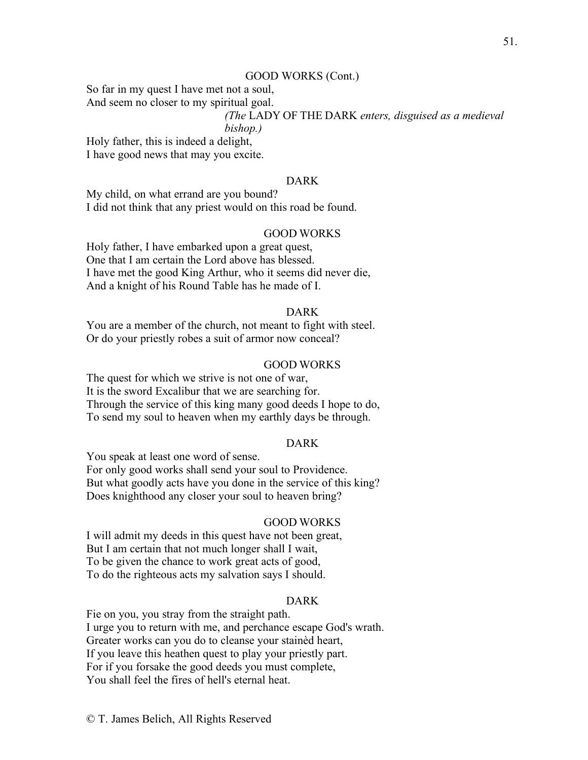#### GOOD WORKS (Cont.)

So far in my quest I have met not a soul,

And seem no closer to my spiritual goal.

# *(The* LADY OF THE DARK *enters, disguised as a medieval*

### *bishop.)*

Holy father, this is indeed a delight, I have good news that may you excite.

# DARK

My child, on what errand are you bound? I did not think that any priest would on this road be found.

# GOOD WORKS

Holy father, I have embarked upon a great quest, One that I am certain the Lord above has blessed. I have met the good King Arthur, who it seems did never die, And a knight of his Round Table has he made of I.

#### DARK

You are a member of the church, not meant to fight with steel. Or do your priestly robes a suit of armor now conceal?

#### GOOD WORKS

The quest for which we strive is not one of war, It is the sword Excalibur that we are searching for. Through the service of this king many good deeds I hope to do, To send my soul to heaven when my earthly days be through.

# DARK

You speak at least one word of sense. For only good works shall send your soul to Providence. But what goodly acts have you done in the service of this king? Does knighthood any closer your soul to heaven bring?

#### GOOD WORKS

I will admit my deeds in this quest have not been great, But I am certain that not much longer shall I wait, To be given the chance to work great acts of good, To do the righteous acts my salvation says I should.

# DARK

Fie on you, you stray from the straight path. I urge you to return with me, and perchance escape God's wrath. Greater works can you do to cleanse your stainèd heart, If you leave this heathen quest to play your priestly part. For if you forsake the good deeds you must complete, You shall feel the fires of hell's eternal heat.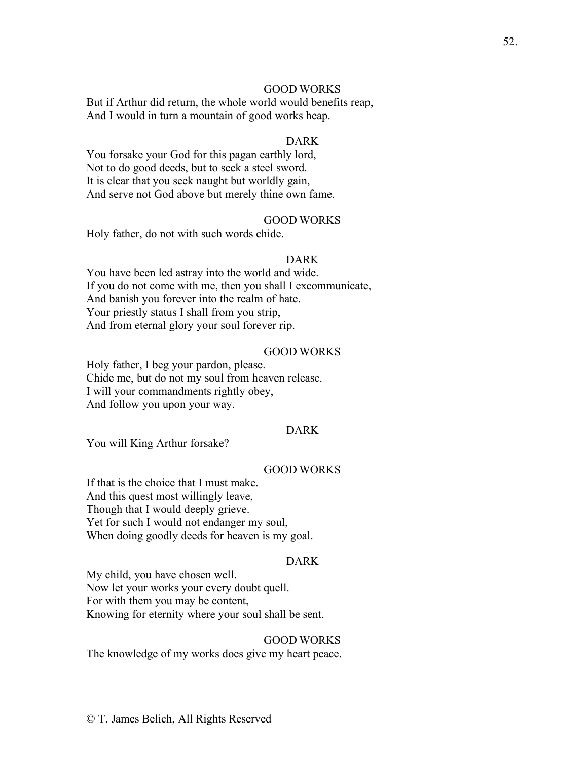# GOOD WORKS

But if Arthur did return, the whole world would benefits reap, And I would in turn a mountain of good works heap.

# DARK

You forsake your God for this pagan earthly lord, Not to do good deeds, but to seek a steel sword. It is clear that you seek naught but worldly gain, And serve not God above but merely thine own fame.

#### GOOD WORKS

Holy father, do not with such words chide.

#### DARK

You have been led astray into the world and wide. If you do not come with me, then you shall I excommunicate, And banish you forever into the realm of hate. Your priestly status I shall from you strip, And from eternal glory your soul forever rip.

#### GOOD WORKS

Holy father, I beg your pardon, please. Chide me, but do not my soul from heaven release. I will your commandments rightly obey, And follow you upon your way.

# DARK

You will King Arthur forsake?

# GOOD WORKS

If that is the choice that I must make. And this quest most willingly leave, Though that I would deeply grieve. Yet for such I would not endanger my soul, When doing goodly deeds for heaven is my goal.

#### DARK

My child, you have chosen well. Now let your works your every doubt quell. For with them you may be content, Knowing for eternity where your soul shall be sent.

#### GOOD WORKS

The knowledge of my works does give my heart peace.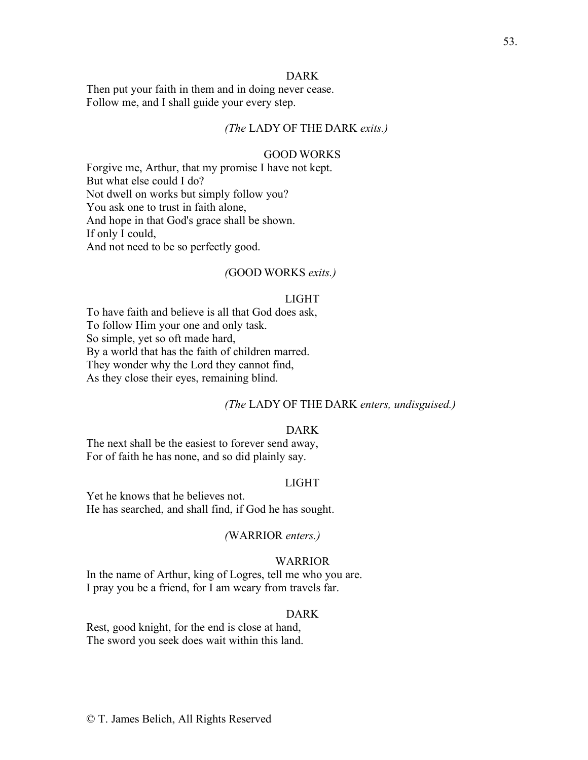## DARK

Then put your faith in them and in doing never cease. Follow me, and I shall guide your every step.

# *(The* LADY OF THE DARK *exits.)*

# GOOD WORKS

Forgive me, Arthur, that my promise I have not kept. But what else could I do? Not dwell on works but simply follow you? You ask one to trust in faith alone, And hope in that God's grace shall be shown. If only I could, And not need to be so perfectly good.

#### *(*GOOD WORKS *exits.)*

#### LIGHT

To have faith and believe is all that God does ask, To follow Him your one and only task. So simple, yet so oft made hard, By a world that has the faith of children marred. They wonder why the Lord they cannot find,

As they close their eyes, remaining blind.

#### *(The* LADY OF THE DARK *enters, undisguised.)*

# DARK

The next shall be the easiest to forever send away, For of faith he has none, and so did plainly say.

# LIGHT

Yet he knows that he believes not. He has searched, and shall find, if God he has sought.

#### *(*WARRIOR *enters.)*

# WARRIOR

In the name of Arthur, king of Logres, tell me who you are. I pray you be a friend, for I am weary from travels far.

#### DARK

Rest, good knight, for the end is close at hand, The sword you seek does wait within this land.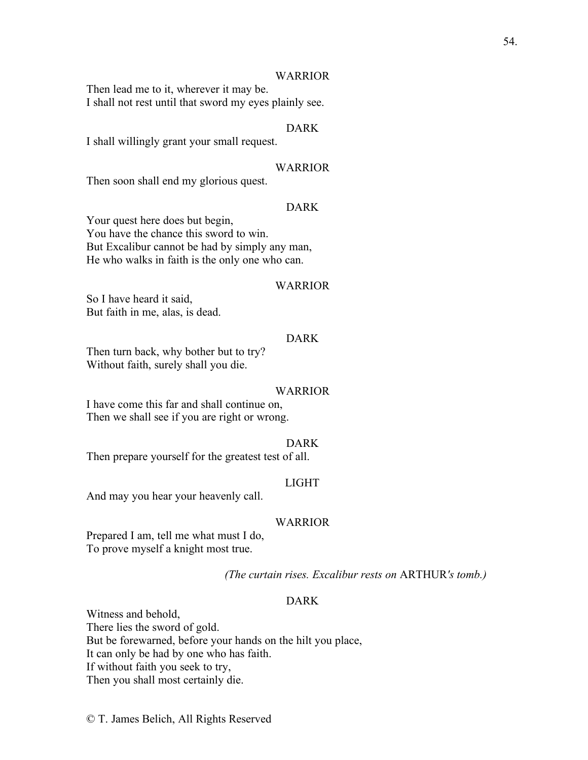#### WARRIOR

Then lead me to it, wherever it may be. I shall not rest until that sword my eyes plainly see.

# DARK

I shall willingly grant your small request.

#### WARRIOR

Then soon shall end my glorious quest.

# DARK

Your quest here does but begin, You have the chance this sword to win. But Excalibur cannot be had by simply any man, He who walks in faith is the only one who can.

#### WARRIOR

So I have heard it said, But faith in me, alas, is dead.

# DARK

Then turn back, why bother but to try? Without faith, surely shall you die.

#### **WARRIOR**

I have come this far and shall continue on, Then we shall see if you are right or wrong.

#### DARK

Then prepare yourself for the greatest test of all.

#### LIGHT

And may you hear your heavenly call.

# WARRIOR

Prepared I am, tell me what must I do, To prove myself a knight most true.

*(The curtain rises. Excalibur rests on* ARTHUR*'s tomb.)*

# DARK

Witness and behold, There lies the sword of gold. But be forewarned, before your hands on the hilt you place, It can only be had by one who has faith. If without faith you seek to try, Then you shall most certainly die.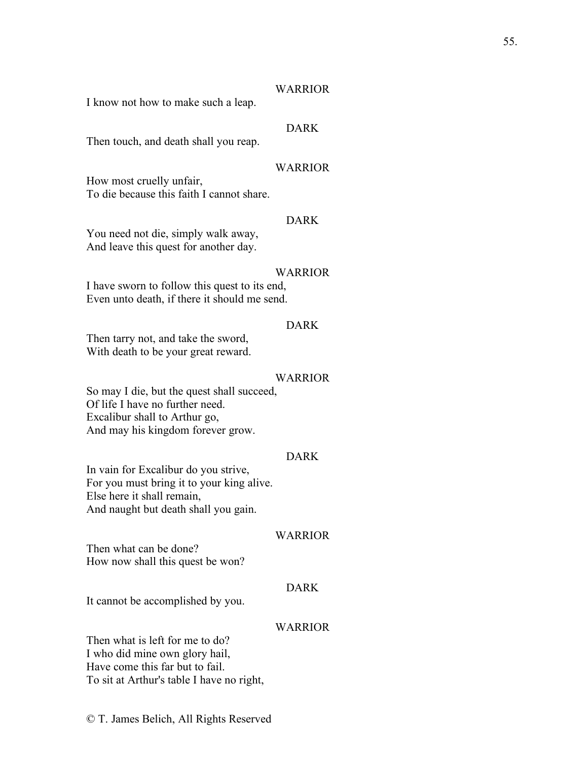### WARRIOR

I know not how to make such a leap.

# DARK

Then touch, and death shall you reap.

#### WARRIOR

How most cruelly unfair, To die because this faith I cannot share.

#### DARK

You need not die, simply walk away, And leave this quest for another day.

#### WARRIOR

I have sworn to follow this quest to its end, Even unto death, if there it should me send.

# DARK

Then tarry not, and take the sword, With death to be your great reward.

#### WARRIOR

So may I die, but the quest shall succeed, Of life I have no further need. Excalibur shall to Arthur go, And may his kingdom forever grow.

# DARK

In vain for Excalibur do you strive, For you must bring it to your king alive. Else here it shall remain, And naught but death shall you gain.

#### WARRIOR

Then what can be done? How now shall this quest be won?

# DARK

It cannot be accomplished by you.

# WARRIOR

Then what is left for me to do? I who did mine own glory hail, Have come this far but to fail. To sit at Arthur's table I have no right,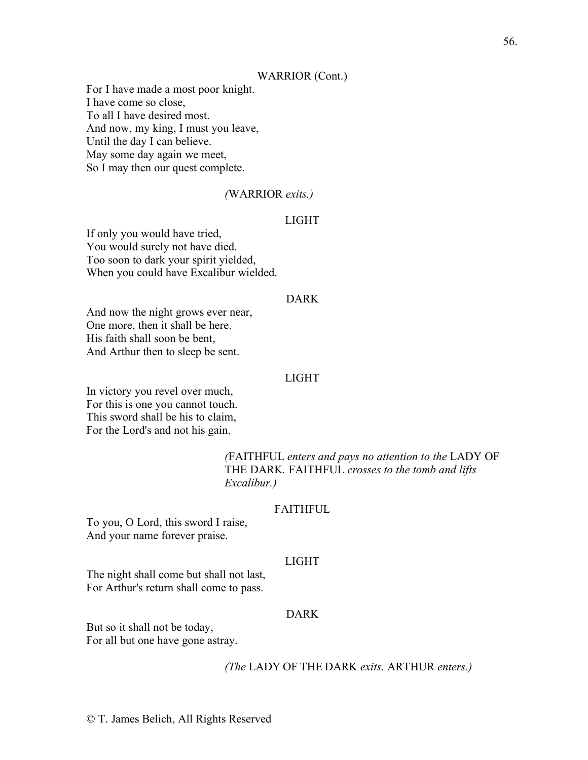#### WARRIOR (Cont.)

For I have made a most poor knight. I have come so close, To all I have desired most. And now, my king, I must you leave, Until the day I can believe. May some day again we meet, So I may then our quest complete.

#### *(*WARRIOR *exits.)*

# LIGHT

If only you would have tried, You would surely not have died. Too soon to dark your spirit yielded, When you could have Excalibur wielded.

#### DARK

And now the night grows ever near, One more, then it shall be here. His faith shall soon be bent, And Arthur then to sleep be sent.

#### LIGHT

In victory you revel over much, For this is one you cannot touch. This sword shall be his to claim, For the Lord's and not his gain.

> *(*FAITHFUL *enters and pays no attention to the* LADY OF THE DARK*.* FAITHFUL *crosses to the tomb and lifts Excalibur.)*

#### FAITHFUL

To you, O Lord, this sword I raise, And your name forever praise.

# LIGHT

The night shall come but shall not last, For Arthur's return shall come to pass.

# DARK

But so it shall not be today, For all but one have gone astray.

#### *(The* LADY OF THE DARK *exits.* ARTHUR *enters.)*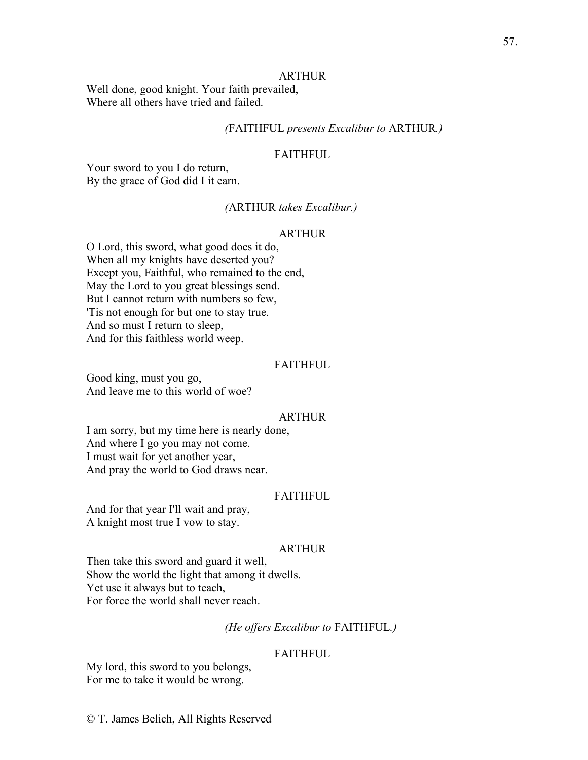#### ARTHUR

Well done, good knight. Your faith prevailed, Where all others have tried and failed.

# *(*FAITHFUL *presents Excalibur to* ARTHUR*.)*

# FAITHFUL

Your sword to you I do return, By the grace of God did I it earn.

# *(*ARTHUR *takes Excalibur.)*

#### ARTHUR

O Lord, this sword, what good does it do, When all my knights have deserted you? Except you, Faithful, who remained to the end, May the Lord to you great blessings send. But I cannot return with numbers so few, 'Tis not enough for but one to stay true. And so must I return to sleep, And for this faithless world weep.

# FAITHFUL

Good king, must you go, And leave me to this world of woe?

#### ARTHUR

I am sorry, but my time here is nearly done, And where I go you may not come. I must wait for yet another year, And pray the world to God draws near.

#### FAITHFUL

And for that year I'll wait and pray, A knight most true I vow to stay.

# ARTHUR

Then take this sword and guard it well, Show the world the light that among it dwells. Yet use it always but to teach, For force the world shall never reach.

# *(He offers Excalibur to* FAITHFUL*.)*

#### **FAITHFUL**

My lord, this sword to you belongs, For me to take it would be wrong.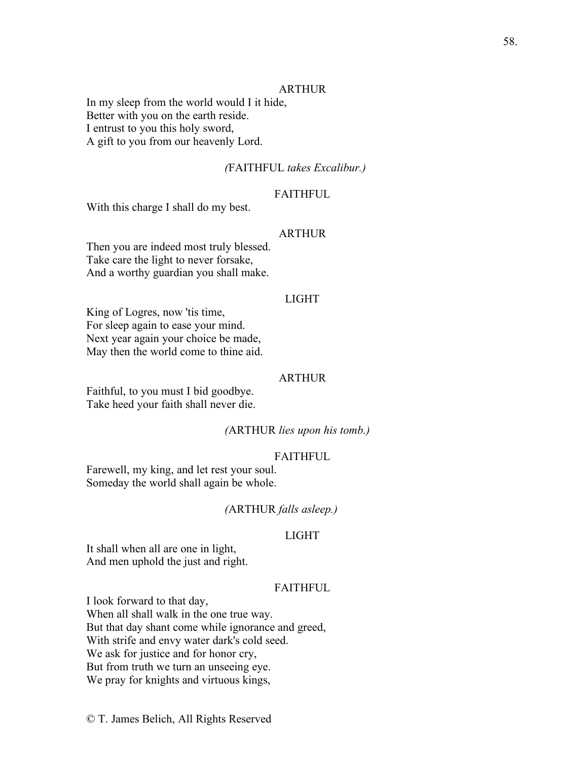## ARTHUR

In my sleep from the world would I it hide, Better with you on the earth reside. I entrust to you this holy sword, A gift to you from our heavenly Lord.

#### *(*FAITHFUL *takes Excalibur.)*

# FAITHFUL

With this charge I shall do my best.

#### ARTHUR

Then you are indeed most truly blessed. Take care the light to never forsake, And a worthy guardian you shall make.

#### LIGHT

King of Logres, now 'tis time, For sleep again to ease your mind. Next year again your choice be made, May then the world come to thine aid.

#### **ARTHUR**

Faithful, to you must I bid goodbye. Take heed your faith shall never die.

#### *(*ARTHUR *lies upon his tomb.)*

#### FAITHFUL

Farewell, my king, and let rest your soul. Someday the world shall again be whole.

#### *(*ARTHUR *falls asleep.)*

# LIGHT

It shall when all are one in light, And men uphold the just and right.

# FAITHFUL.

I look forward to that day, When all shall walk in the one true way. But that day shant come while ignorance and greed, With strife and envy water dark's cold seed. We ask for justice and for honor cry, But from truth we turn an unseeing eye. We pray for knights and virtuous kings,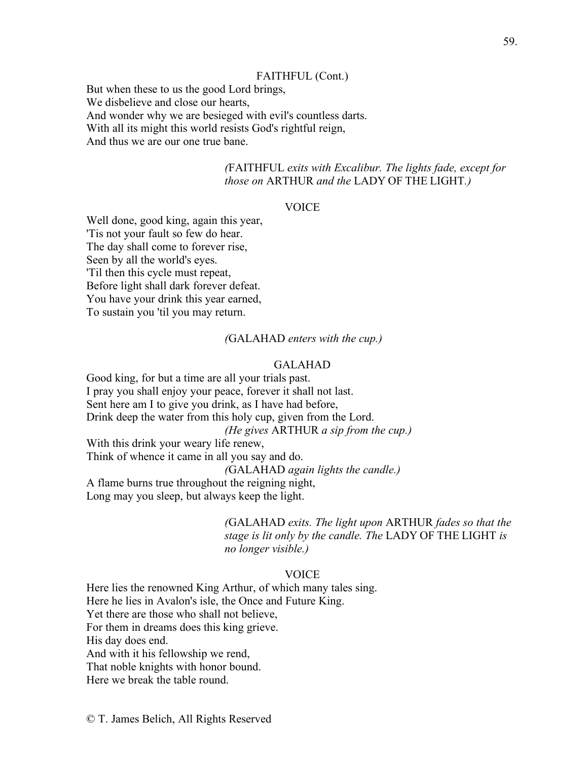#### FAITHFUL (Cont.)

But when these to us the good Lord brings, We disbelieve and close our hearts, And wonder why we are besieged with evil's countless darts. With all its might this world resists God's rightful reign, And thus we are our one true bane.

> *(*FAITHFUL *exits with Excalibur. The lights fade, except for those on* ARTHUR *and the* LADY OF THE LIGHT*.)*

# VOICE

Well done, good king, again this year, 'Tis not your fault so few do hear. The day shall come to forever rise, Seen by all the world's eyes. 'Til then this cycle must repeat, Before light shall dark forever defeat. You have your drink this year earned, To sustain you 'til you may return.

#### *(*GALAHAD *enters with the cup.)*

# GALAHAD

Good king, for but a time are all your trials past. I pray you shall enjoy your peace, forever it shall not last. Sent here am I to give you drink, as I have had before, Drink deep the water from this holy cup, given from the Lord. *(He gives* ARTHUR *a sip from the cup.)* With this drink your weary life renew, Think of whence it came in all you say and do. *(*GALAHAD *again lights the candle.)* A flame burns true throughout the reigning night, Long may you sleep, but always keep the light.

> *(*GALAHAD *exits. The light upon* ARTHUR *fades so that the stage is lit only by the candle. The* LADY OF THE LIGHT *is no longer visible.)*

# VOICE

Here lies the renowned King Arthur, of which many tales sing. Here he lies in Avalon's isle, the Once and Future King. Yet there are those who shall not believe, For them in dreams does this king grieve. His day does end. And with it his fellowship we rend, That noble knights with honor bound. Here we break the table round.